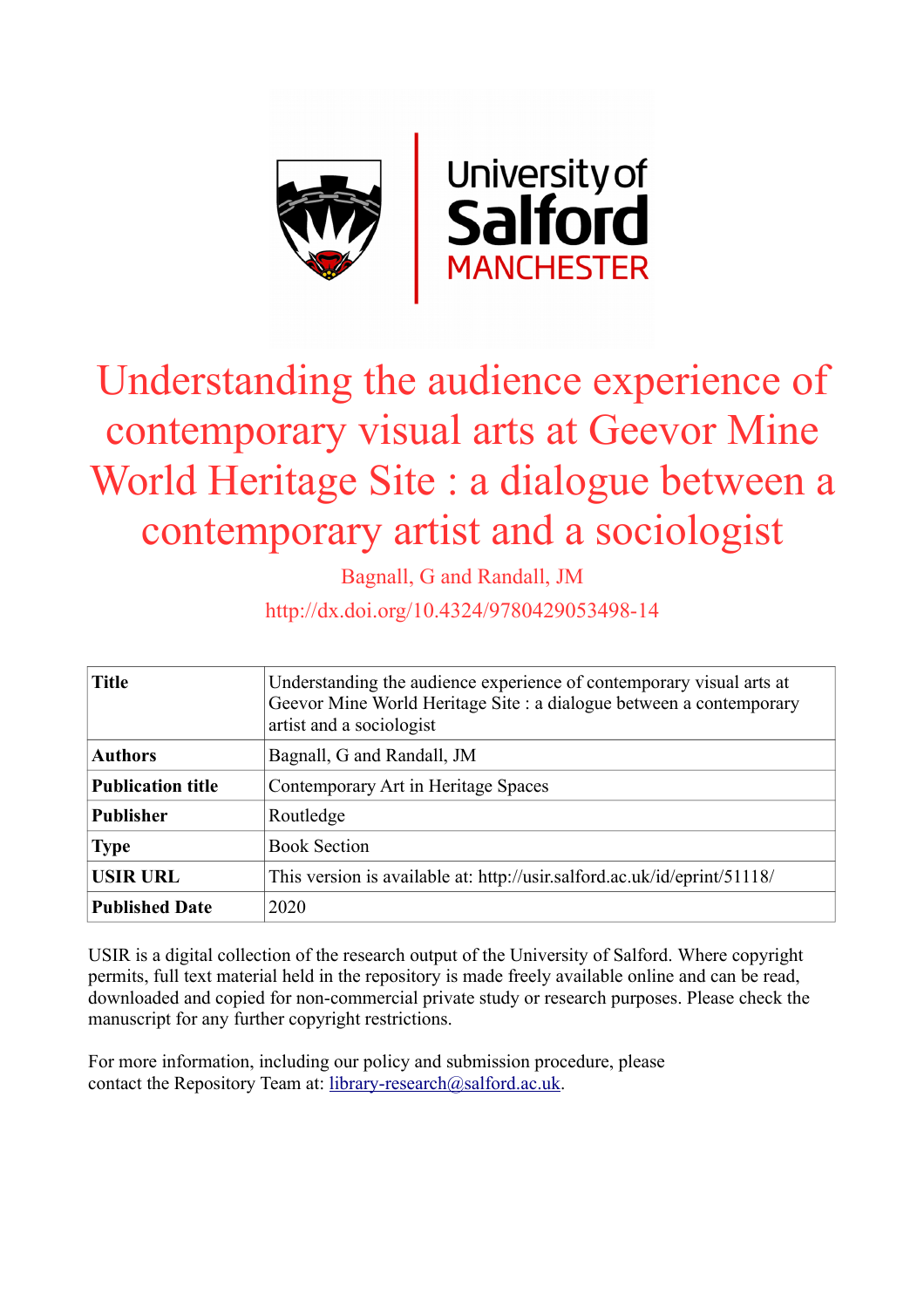

# Understanding the audience experience of contemporary visual arts at Geevor Mine World Heritage Site : a dialogue between a contemporary artist and a sociologist

Bagnall, G and Randall, JM

http://dx.doi.org/10.4324/9780429053498-14

| <b>Title</b>             | Understanding the audience experience of contemporary visual arts at<br>Geevor Mine World Heritage Site : a dialogue between a contemporary<br>artist and a sociologist |
|--------------------------|-------------------------------------------------------------------------------------------------------------------------------------------------------------------------|
| <b>Authors</b>           | Bagnall, G and Randall, JM                                                                                                                                              |
| <b>Publication title</b> | Contemporary Art in Heritage Spaces                                                                                                                                     |
| <b>Publisher</b>         | Routledge                                                                                                                                                               |
| <b>Type</b>              | <b>Book Section</b>                                                                                                                                                     |
| <b>USIR URL</b>          | This version is available at: http://usir.salford.ac.uk/id/eprint/51118/                                                                                                |
| <b>Published Date</b>    | 2020                                                                                                                                                                    |

USIR is a digital collection of the research output of the University of Salford. Where copyright permits, full text material held in the repository is made freely available online and can be read, downloaded and copied for non-commercial private study or research purposes. Please check the manuscript for any further copyright restrictions.

For more information, including our policy and submission procedure, please contact the Repository Team at: [library-research@salford.ac.uk.](mailto:library-research@salford.ac.uk)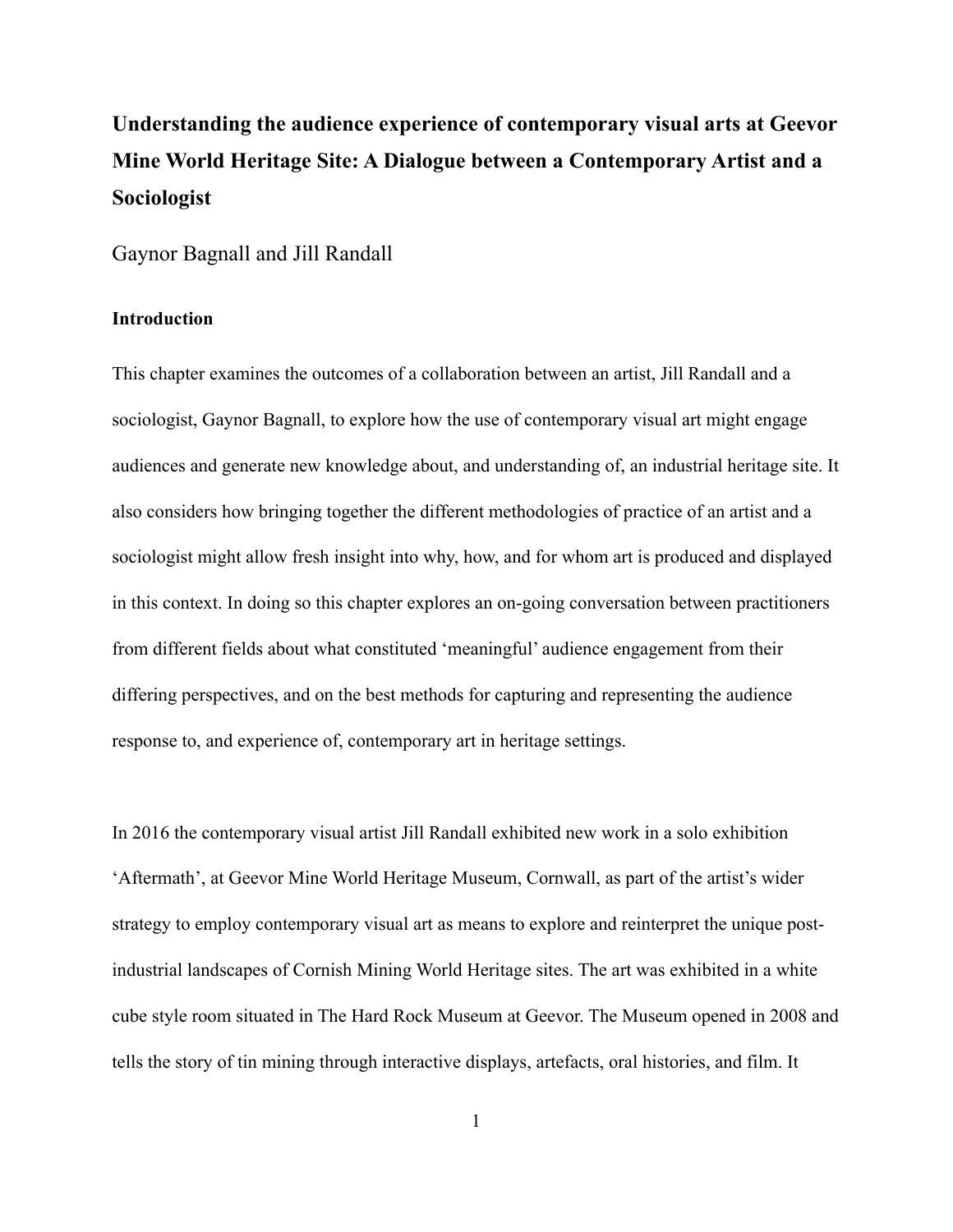# **Understanding the audience experience of contemporary visual arts at Geevor Mine World Heritage Site: A Dialogue between a Contemporary Artist and a Sociologist**

Gaynor Bagnall and Jill Randall

# **Introduction**

This chapter examines the outcomes of a collaboration between an artist, Jill Randall and a sociologist, Gaynor Bagnall, to explore how the use of contemporary visual art might engage audiences and generate new knowledge about, and understanding of, an industrial heritage site. It also considers how bringing together the different methodologies of practice of an artist and a sociologist might allow fresh insight into why, how, and for whom art is produced and displayed in this context. In doing so this chapter explores an on-going conversation between practitioners from different fields about what constituted 'meaningful' audience engagement from their differing perspectives, and on the best methods for capturing and representing the audience response to, and experience of, contemporary art in heritage settings.

In 2016 the contemporary visual artist Jill Randall exhibited new work in a solo exhibition 'Aftermath', at Geevor Mine World Heritage Museum, Cornwall, as part of the artist's wider strategy to employ contemporary visual art as means to explore and reinterpret the unique postindustrial landscapes of Cornish Mining World Heritage sites. The art was exhibited in a white cube style room situated in The Hard Rock Museum at Geevor. The Museum opened in 2008 and tells the story of tin mining through interactive displays, artefacts, oral histories, and film. It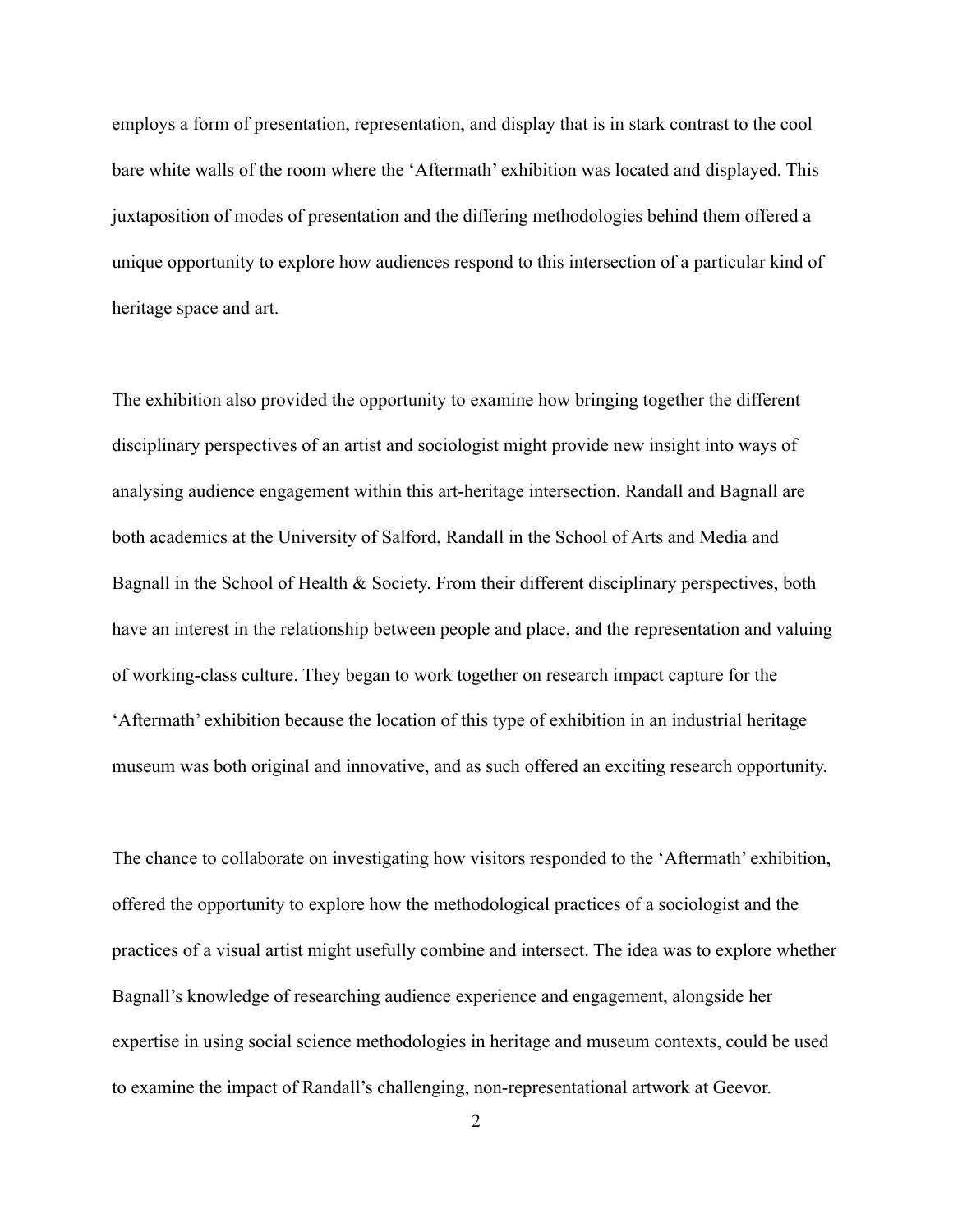employs a form of presentation, representation, and display that is in stark contrast to the cool bare white walls of the room where the 'Aftermath' exhibition was located and displayed. This juxtaposition of modes of presentation and the differing methodologies behind them offered a unique opportunity to explore how audiences respond to this intersection of a particular kind of heritage space and art.

The exhibition also provided the opportunity to examine how bringing together the different disciplinary perspectives of an artist and sociologist might provide new insight into ways of analysing audience engagement within this art-heritage intersection. Randall and Bagnall are both academics at the University of Salford, Randall in the School of Arts and Media and Bagnall in the School of Health & Society. From their different disciplinary perspectives, both have an interest in the relationship between people and place, and the representation and valuing of working-class culture. They began to work together on research impact capture for the 'Aftermath' exhibition because the location of this type of exhibition in an industrial heritage museum was both original and innovative, and as such offered an exciting research opportunity.

The chance to collaborate on investigating how visitors responded to the 'Aftermath' exhibition, offered the opportunity to explore how the methodological practices of a sociologist and the practices of a visual artist might usefully combine and intersect. The idea was to explore whether Bagnall's knowledge of researching audience experience and engagement, alongside her expertise in using social science methodologies in heritage and museum contexts, could be used to examine the impact of Randall's challenging, non-representational artwork at Geevor.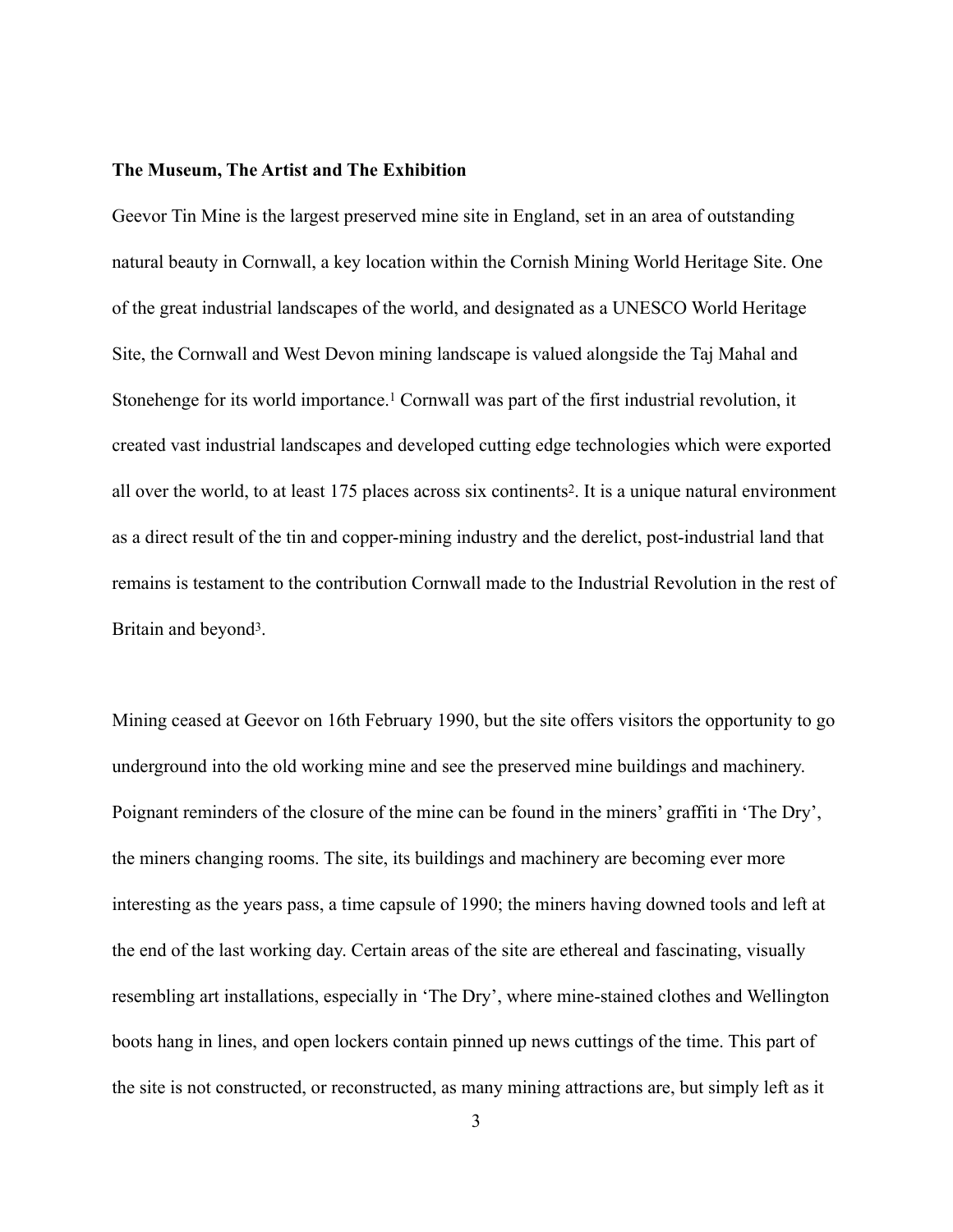#### **The Museum, The Artist and The Exhibition**

<span id="page-3-0"></span>Geevor Tin Mine is the largest preserved mine site in England, set in an area of outstanding natural beauty in Cornwall, a key location within the Cornish Mining World Heritage Site. One of the great industrial landscapes of the world, and designated as a UNESCO World Heritage Site, the Cornwall and West Devon mining landscape is valued alongside the Taj Mahal and Stonehenge for its world importance[.](#page-22-0)<sup>[1](#page-22-0)</sup> Cornwall was part of the first industrial revolution, it created vast industrial landscapes and developed cutting edge technologies which were exported all over the world, to at least 175 places across six continents<sup>[2](#page-22-1)</sup>. It is a unique natural environment as a direct result of the tin and copper-mining industry and the derelict, post-industrial land that remains is testament to the contribution Cornwall made to the Industrial Revolution in the rest of Britain and beyond<sup>3</sup>[.](#page-22-2)

<span id="page-3-2"></span><span id="page-3-1"></span>Mining ceased at Geevor on 16th February 1990, but the site offers visitors the opportunity to go underground into the old working mine and see the preserved mine buildings and machinery. Poignant reminders of the closure of the mine can be found in the miners' graffiti in 'The Dry', the miners changing rooms. The site, its buildings and machinery are becoming ever more interesting as the years pass, a time capsule of 1990; the miners having downed tools and left at the end of the last working day. Certain areas of the site are ethereal and fascinating, visually resembling art installations, especially in 'The Dry', where mine-stained clothes and Wellington boots hang in lines, and open lockers contain pinned up news cuttings of the time. This part of the site is not constructed, or reconstructed, as many mining attractions are, but simply left as it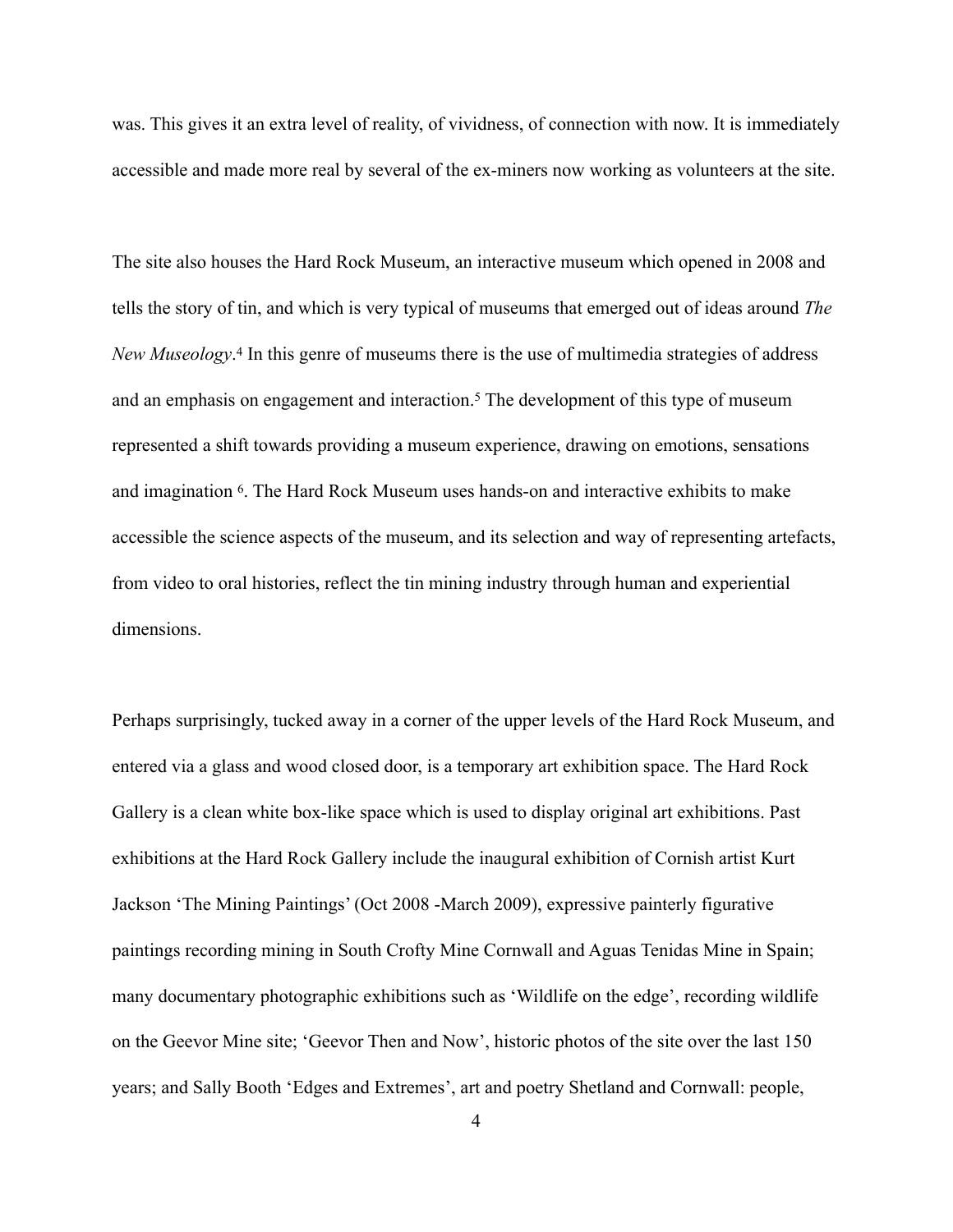was. This gives it an extra level of reality, of vividness, of connection with now. It is immediately accessible and made more real by several of the ex-miners now working as volunteers at the site.

<span id="page-4-2"></span><span id="page-4-1"></span><span id="page-4-0"></span>The site also houses the Hard Rock Museum, an interactive museum which opened in 2008 and tells the story of tin, and which is very typical of museums that emerged out of ideas around *The NewMuseology*.<sup>[4](#page-22-3)</sup> In this genre of museums there is the use of multimedia strategies of address andan emphasis on engagement and interaction.<sup>[5](#page-22-4)</sup> The development of this type of museum represented a shift towards providing a museum experience, drawing on emotions, sensations and imagination <sup>6</sup>[.](#page-22-5) The Hard Rock Museum uses hands-on and interactive exhibits to make accessible the science aspects of the museum, and its selection and way of representing artefacts, from video to oral histories, reflect the tin mining industry through human and experiential dimensions.

Perhaps surprisingly, tucked away in a corner of the upper levels of the Hard Rock Museum, and entered via a glass and wood closed door, is a temporary art exhibition space. The Hard Rock Gallery is a clean white box-like space which is used to display original art exhibitions. Past exhibitions at the Hard Rock Gallery include the inaugural exhibition of Cornish artist Kurt Jackson 'The Mining Paintings' (Oct 2008 -March 2009), expressive painterly figurative paintings recording mining in South Crofty Mine Cornwall and Aguas Tenidas Mine in Spain; many documentary photographic exhibitions such as 'Wildlife on the edge', recording wildlife on the Geevor Mine site; 'Geevor Then and Now', historic photos of the site over the last 150 years; and Sally Booth 'Edges and Extremes', art and poetry Shetland and Cornwall: people,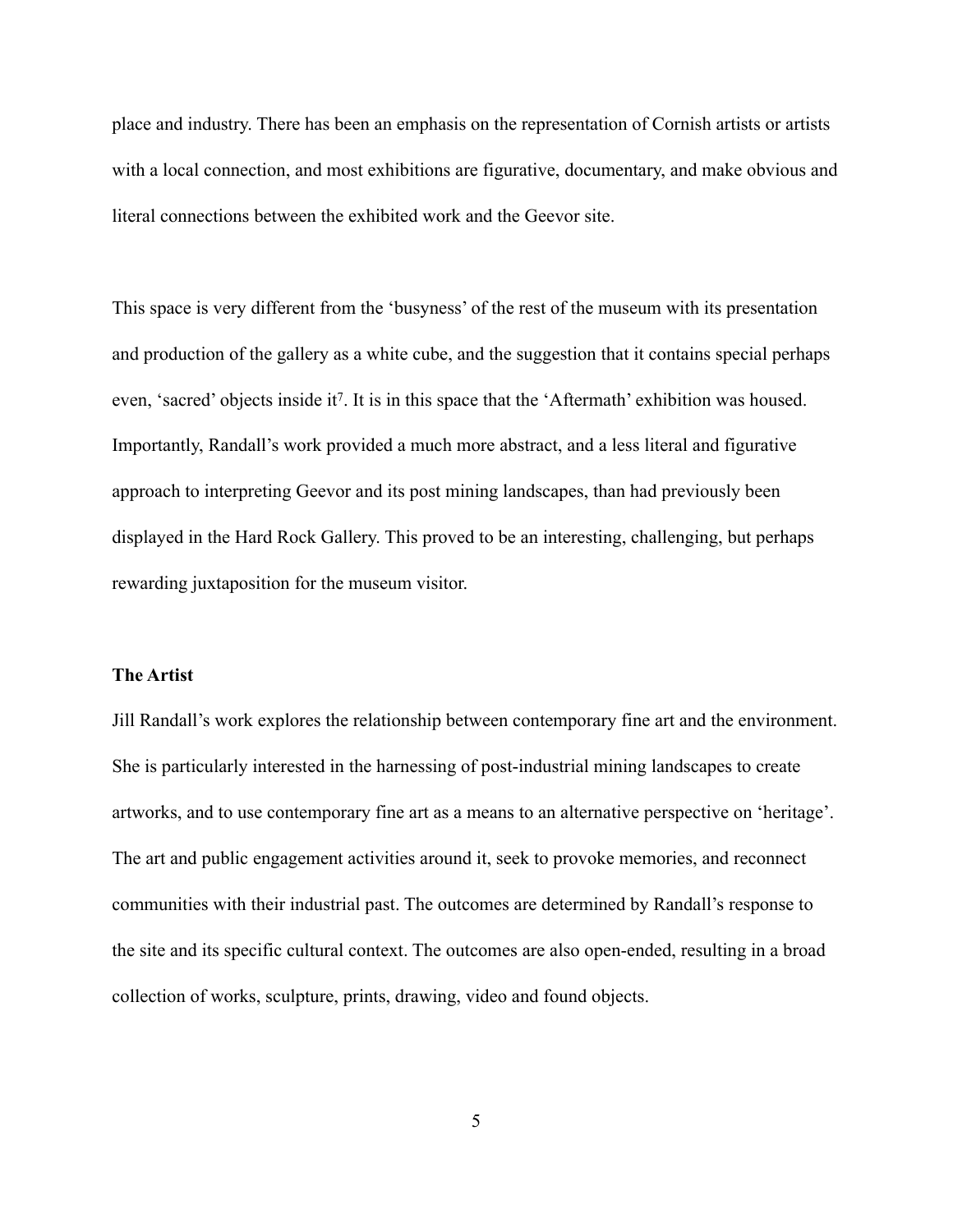place and industry. There has been an emphasis on the representation of Cornish artists or artists with a local connection, and most exhibitions are figurative, documentary, and make obvious and literal connections between the exhibited work and the Geevor site.

<span id="page-5-0"></span>This space is very different from the 'busyness' of the rest of the museum with its presentation and production of the gallery as a white cube, and the suggestion that it contains special perhaps even, 'sacred' objects inside it<sup>7</sup>[.](#page-22-6) It is in this space that the 'Aftermath' exhibition was housed. Importantly, Randall's work provided a much more abstract, and a less literal and figurative approach to interpreting Geevor and its post mining landscapes, than had previously been displayed in the Hard Rock Gallery. This proved to be an interesting, challenging, but perhaps rewarding juxtaposition for the museum visitor.

### **The Artist**

Jill Randall's work explores the relationship between contemporary fine art and the environment. She is particularly interested in the harnessing of post-industrial mining landscapes to create artworks, and to use contemporary fine art as a means to an alternative perspective on 'heritage'. The art and public engagement activities around it, seek to provoke memories, and reconnect communities with their industrial past. The outcomes are determined by Randall's response to the site and its specific cultural context. The outcomes are also open-ended, resulting in a broad collection of works, sculpture, prints, drawing, video and found objects.

5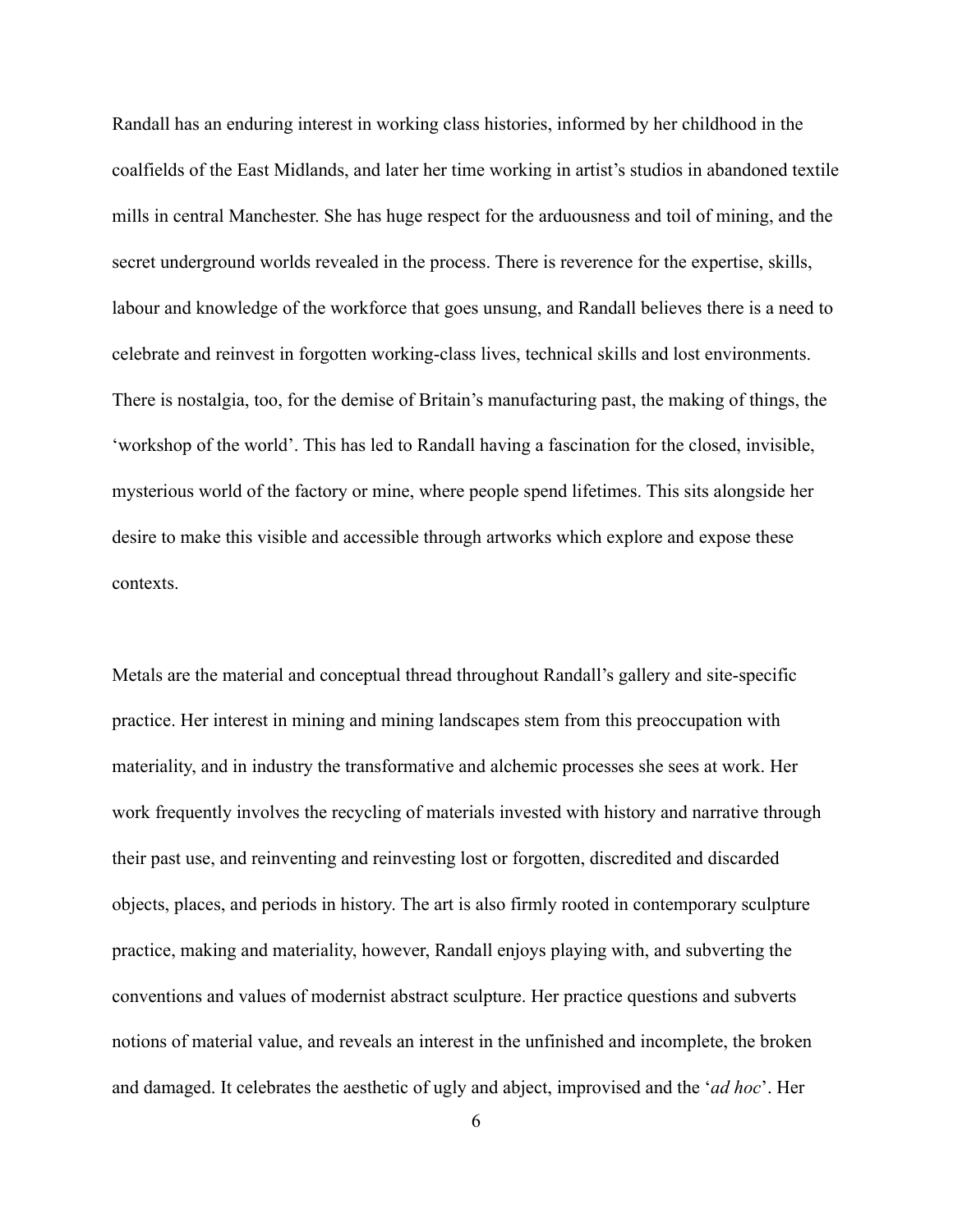Randall has an enduring interest in working class histories, informed by her childhood in the coalfields of the East Midlands, and later her time working in artist's studios in abandoned textile mills in central Manchester. She has huge respect for the arduousness and toil of mining, and the secret underground worlds revealed in the process. There is reverence for the expertise, skills, labour and knowledge of the workforce that goes unsung, and Randall believes there is a need to celebrate and reinvest in forgotten working-class lives, technical skills and lost environments. There is nostalgia, too, for the demise of Britain's manufacturing past, the making of things, the 'workshop of the world'. This has led to Randall having a fascination for the closed, invisible, mysterious world of the factory or mine, where people spend lifetimes. This sits alongside her desire to make this visible and accessible through artworks which explore and expose these contexts.

Metals are the material and conceptual thread throughout Randall's gallery and site-specific practice. Her interest in mining and mining landscapes stem from this preoccupation with materiality, and in industry the transformative and alchemic processes she sees at work. Her work frequently involves the recycling of materials invested with history and narrative through their past use, and reinventing and reinvesting lost or forgotten, discredited and discarded objects, places, and periods in history. The art is also firmly rooted in contemporary sculpture practice, making and materiality, however, Randall enjoys playing with, and subverting the conventions and values of modernist abstract sculpture. Her practice questions and subverts notions of material value, and reveals an interest in the unfinished and incomplete, the broken and damaged. It celebrates the aesthetic of ugly and abject, improvised and the '*ad hoc*'. Her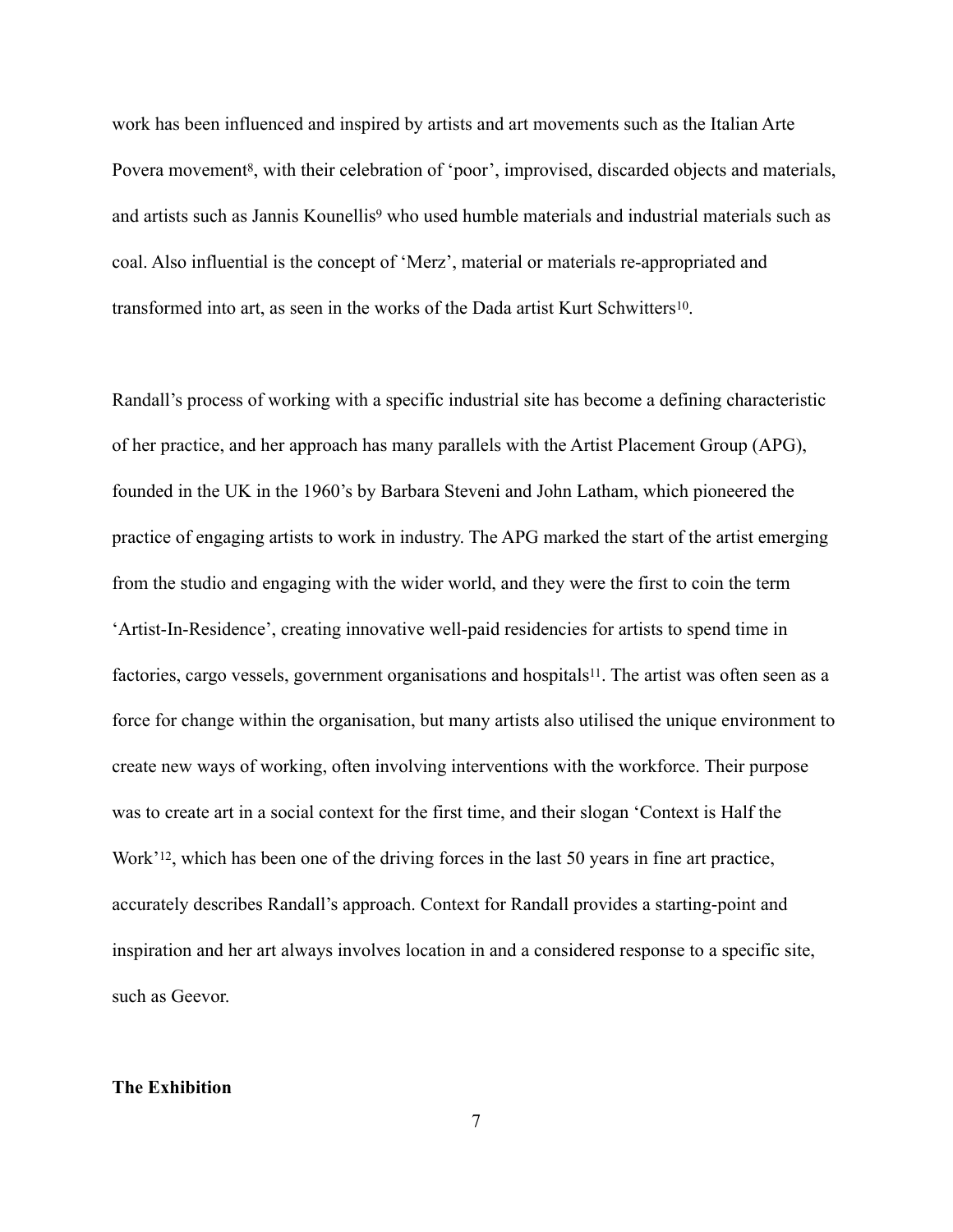<span id="page-7-1"></span><span id="page-7-0"></span>work has been influenced and inspired by artists and art movements such as the Italian Arte Povera movement<sup>[8](#page-22-7)</sup>, with their celebration of 'poor', improvised, discarded objects and materials, andartists such as Jannis Kounellis<sup>[9](#page-22-8)</sup> who used humble materials and industrial materials such as coal. Also influential is the concept of 'Merz', material or materials re-appropriated and transformed into art, as seen in the works of the Dada artist Kurt Schwitters<sup>10</sup>[.](#page-22-9)

<span id="page-7-2"></span>Randall's process of working with a specific industrial site has become a defining characteristic of her practice, and her approach has many parallels with the Artist Placement Group (APG), founded in the UK in the 1960's by Barbara Steveni and John Latham, which pioneered the practice of engaging artists to work in industry. The APG marked the start of the artist emerging from the studio and engaging with the wider world, and they were the first to coin the term 'Artist-In-Residence', creating innovative well-paid residencies for artists to spend time in factories, cargo vessels, government organisations and hospitals<sup>11</sup>[.](#page-22-10) The artist was often seen as a force for change within the organisation, but many artists also utilised the unique environment to create new ways of working, often involving interventions with the workforce. Their purpose was to create art in a social context for the first time, and their slogan 'Context is Half the Work'<sup>[12](#page-23-0)</sup>, which has been one of the driving forces in the last 50 years in fine art practice, accurately describes Randall's approach. Context for Randall provides a starting-point and inspiration and her art always involves location in and a considered response to a specific site, such as Geevor.

## <span id="page-7-4"></span>**The Exhibition**

<span id="page-7-3"></span>7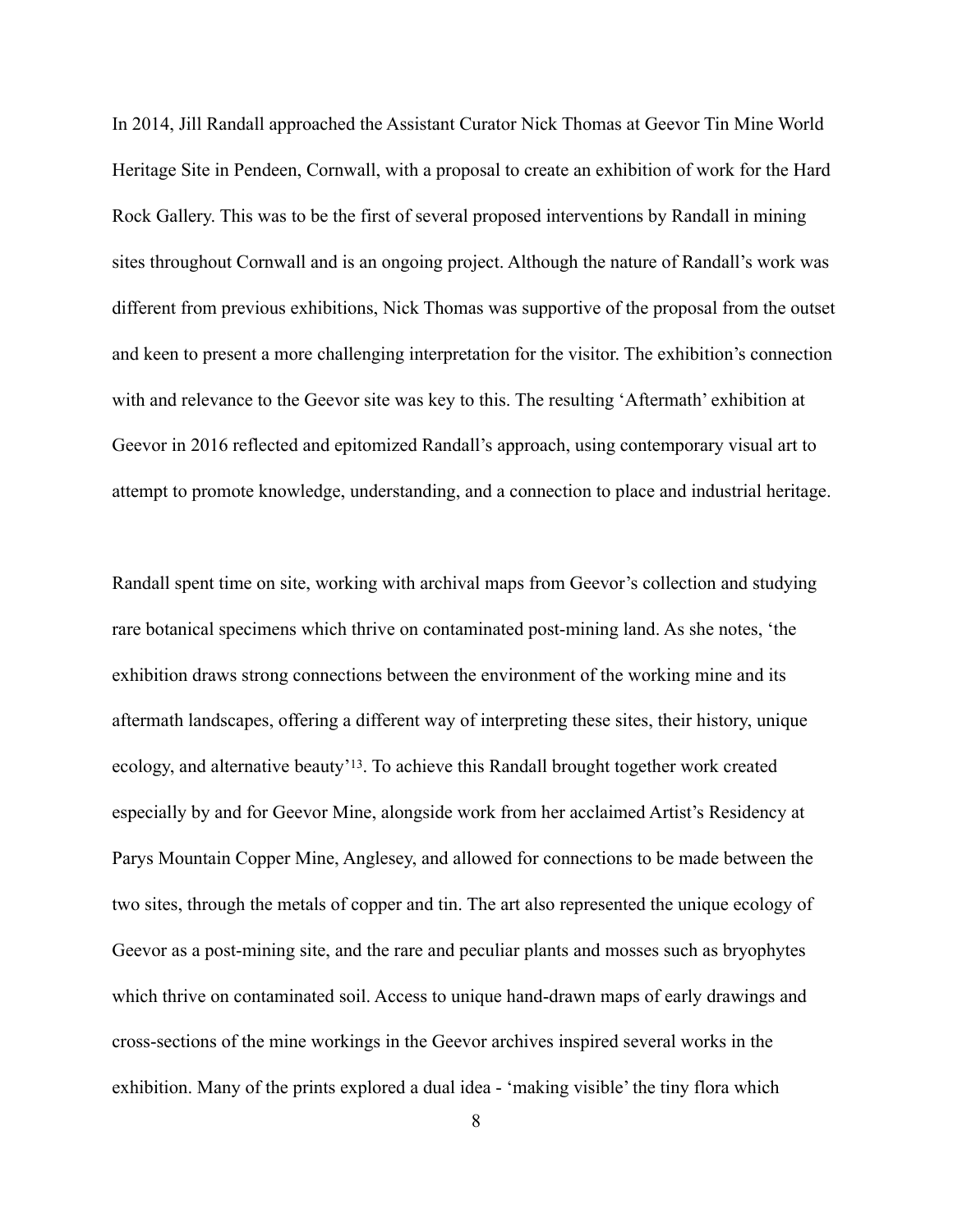In 2014, Jill Randall approached the Assistant Curator Nick Thomas at Geevor Tin Mine World Heritage Site in Pendeen, Cornwall, with a proposal to create an exhibition of work for the Hard Rock Gallery. This was to be the first of several proposed interventions by Randall in mining sites throughout Cornwall and is an ongoing project. Although the nature of Randall's work was different from previous exhibitions, Nick Thomas was supportive of the proposal from the outset and keen to present a more challenging interpretation for the visitor. The exhibition's connection with and relevance to the Geevor site was key to this. The resulting 'Aftermath' exhibition at Geevor in 2016 reflected and epitomized Randall's approach, using contemporary visual art to attempt to promote knowledge, understanding, and a connection to place and industrial heritage.

<span id="page-8-0"></span>Randall spent time on site, working with archival maps from Geevor's collection and studying rare botanical specimens which thrive on contaminated post-mining land. As she notes, 'the exhibition draws strong connections between the environment of the working mine and its aftermath landscapes, offering a different way of interpreting these sites, their history, unique ecology, and alternative beauty'<sup>[13](#page-23-1)</sup>. To achieve this Randall brought together work created especially by and for Geevor Mine, alongside work from her acclaimed Artist's Residency at Parys Mountain Copper Mine, Anglesey, and allowed for connections to be made between the two sites, through the metals of copper and tin. The art also represented the unique ecology of Geevor as a post-mining site, and the rare and peculiar plants and mosses such as bryophytes which thrive on contaminated soil. Access to unique hand-drawn maps of early drawings and cross-sections of the mine workings in the Geevor archives inspired several works in the exhibition. Many of the prints explored a dual idea - 'making visible' the tiny flora which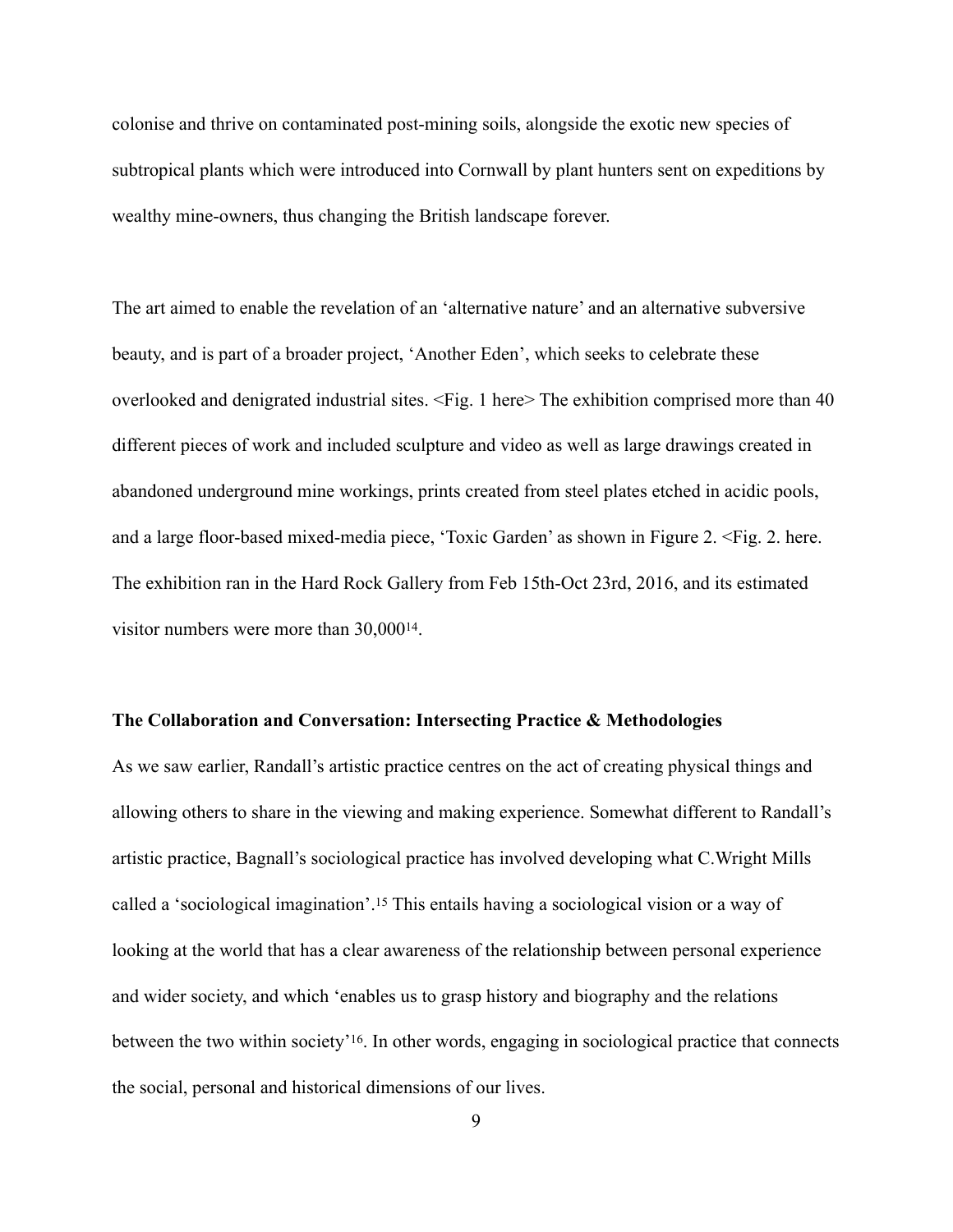colonise and thrive on contaminated post-mining soils, alongside the exotic new species of subtropical plants which were introduced into Cornwall by plant hunters sent on expeditions by wealthy mine-owners, thus changing the British landscape forever.

The art aimed to enable the revelation of an 'alternative nature' and an alternative subversive beauty, and is part of a broader project, 'Another Eden', which seeks to celebrate these overlooked and denigrated industrial sites. <Fig. 1 here> The exhibition comprised more than 40 different pieces of work and included sculpture and video as well as large drawings created in abandoned underground mine workings, prints created from steel plates etched in acidic pools, and a large floor-based mixed-media piece, 'Toxic Garden' as shown in Figure 2. <Fig. 2. here. The exhibition ran in the Hard Rock Gallery from Feb 15th-Oct 23rd, 2016, and its estimated visitor numbers were more than  $30,000^{14}$  $30,000^{14}$  $30,000^{14}$ .

#### <span id="page-9-0"></span>**The Collaboration and Conversation: Intersecting Practice & Methodologies**

<span id="page-9-2"></span><span id="page-9-1"></span>As we saw earlier, Randall's artistic practice centres on the act of creating physical things and allowing others to share in the viewing and making experience. Somewhat different to Randall's artistic practice, Bagnall's sociological practice has involved developing what C.Wright Mills called a 'sociological imagination'[.](#page-23-3)<sup>[15](#page-23-3)</sup> This entails having a sociological vision or a way of looking at the world that has a clear awareness of the relationship between personal experience and wider society, and which 'enables us to grasp history and biography and the relations between the two within society'<sup>[16](#page-23-4)</sup>. In other words, engaging in sociological practice that connects the social, personal and historical dimensions of our lives.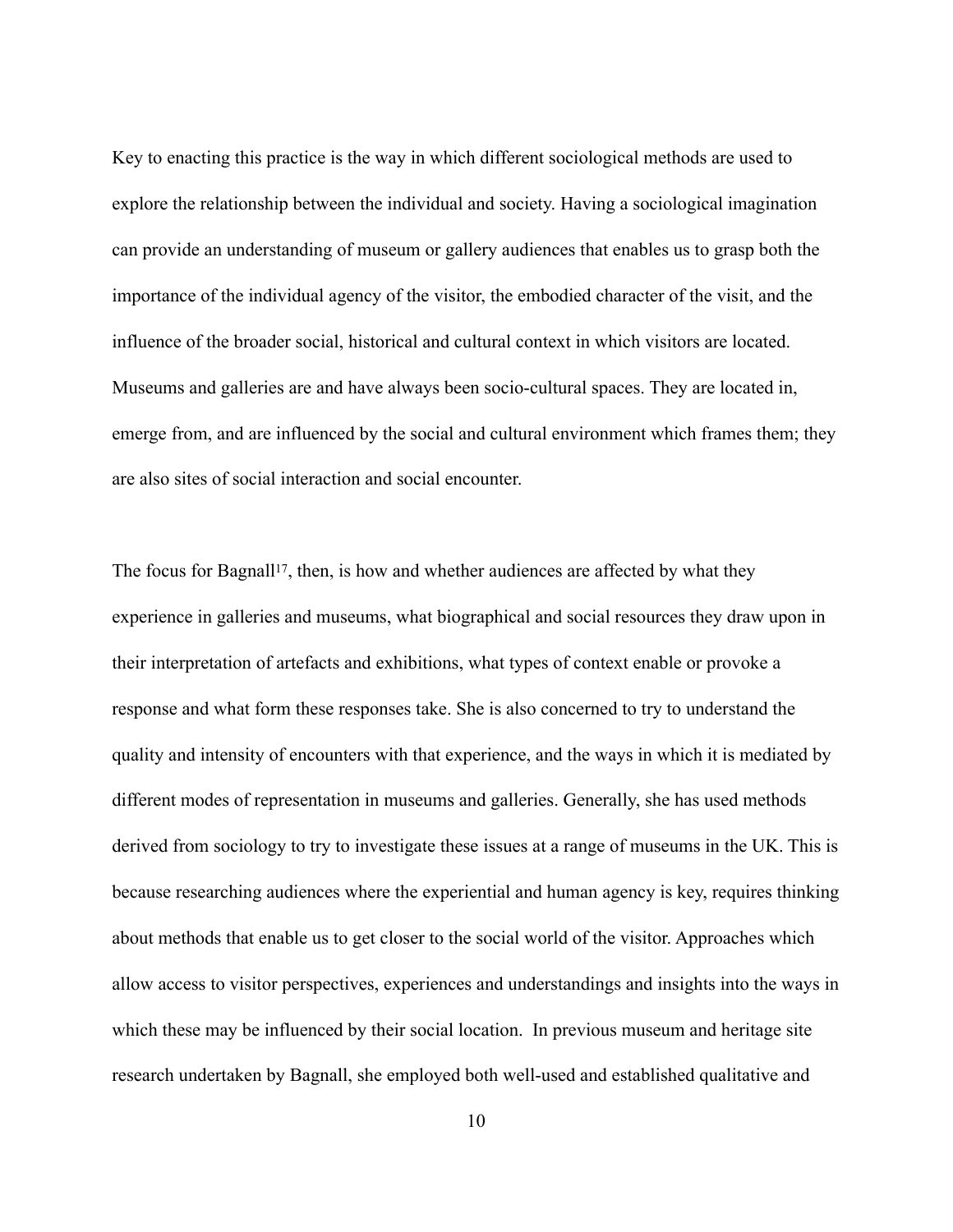Key to enacting this practice is the way in which different sociological methods are used to explore the relationship between the individual and society. Having a sociological imagination can provide an understanding of museum or gallery audiences that enables us to grasp both the importance of the individual agency of the visitor, the embodied character of the visit, and the influence of the broader social, historical and cultural context in which visitors are located. Museums and galleries are and have always been socio-cultural spaces. They are located in, emerge from, and are influenced by the social and cultural environment which frames them; they are also sites of social interaction and social encounter.

<span id="page-10-0"></span>The focus for Bagnall<sup>17</sup>[,](#page-23-5) then, is how and whether audiences are affected by what they experience in galleries and museums, what biographical and social resources they draw upon in their interpretation of artefacts and exhibitions, what types of context enable or provoke a response and what form these responses take. She is also concerned to try to understand the quality and intensity of encounters with that experience, and the ways in which it is mediated by different modes of representation in museums and galleries. Generally, she has used methods derived from sociology to try to investigate these issues at a range of museums in the UK. This is because researching audiences where the experiential and human agency is key, requires thinking about methods that enable us to get closer to the social world of the visitor. Approaches which allow access to visitor perspectives, experiences and understandings and insights into the ways in which these may be influenced by their social location. In previous museum and heritage site research undertaken by Bagnall, she employed both well-used and established qualitative and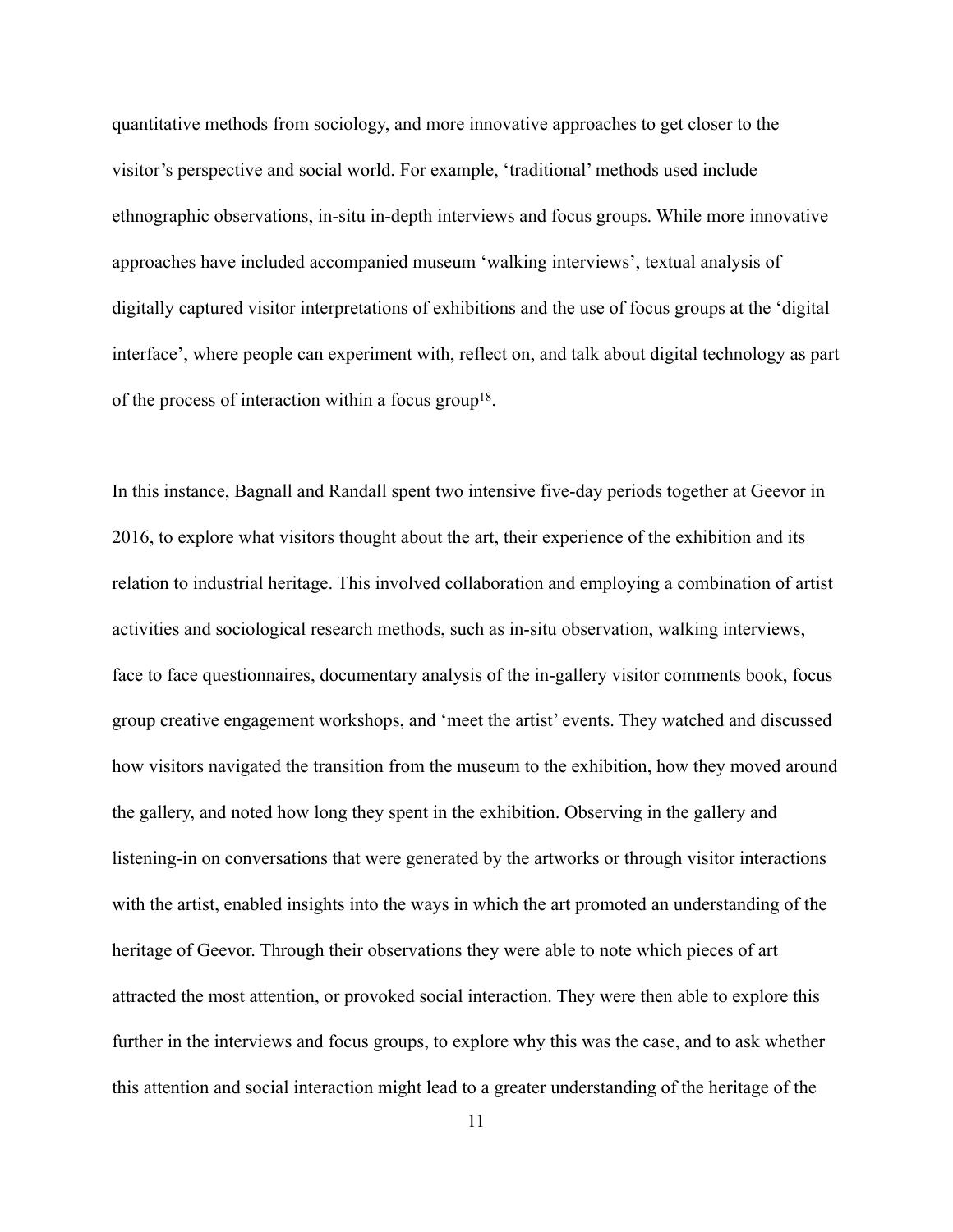quantitative methods from sociology, and more innovative approaches to get closer to the visitor's perspective and social world. For example, 'traditional' methods used include ethnographic observations, in-situ in-depth interviews and focus groups. While more innovative approaches have included accompanied museum 'walking interviews', textual analysis of digitally captured visitor interpretations of exhibitions and the use of focus groups at the 'digital interface', where people can experiment with, reflect on, and talk about digital technology as part of the process of interaction within a focus group<sup>18</sup>[.](#page-23-6)

<span id="page-11-0"></span>In this instance, Bagnall and Randall spent two intensive five-day periods together at Geevor in 2016, to explore what visitors thought about the art, their experience of the exhibition and its relation to industrial heritage. This involved collaboration and employing a combination of artist activities and sociological research methods, such as in-situ observation, walking interviews, face to face questionnaires, documentary analysis of the in-gallery visitor comments book, focus group creative engagement workshops, and 'meet the artist' events. They watched and discussed how visitors navigated the transition from the museum to the exhibition, how they moved around the gallery, and noted how long they spent in the exhibition. Observing in the gallery and listening-in on conversations that were generated by the artworks or through visitor interactions with the artist, enabled insights into the ways in which the art promoted an understanding of the heritage of Geevor. Through their observations they were able to note which pieces of art attracted the most attention, or provoked social interaction. They were then able to explore this further in the interviews and focus groups, to explore why this was the case, and to ask whether this attention and social interaction might lead to a greater understanding of the heritage of the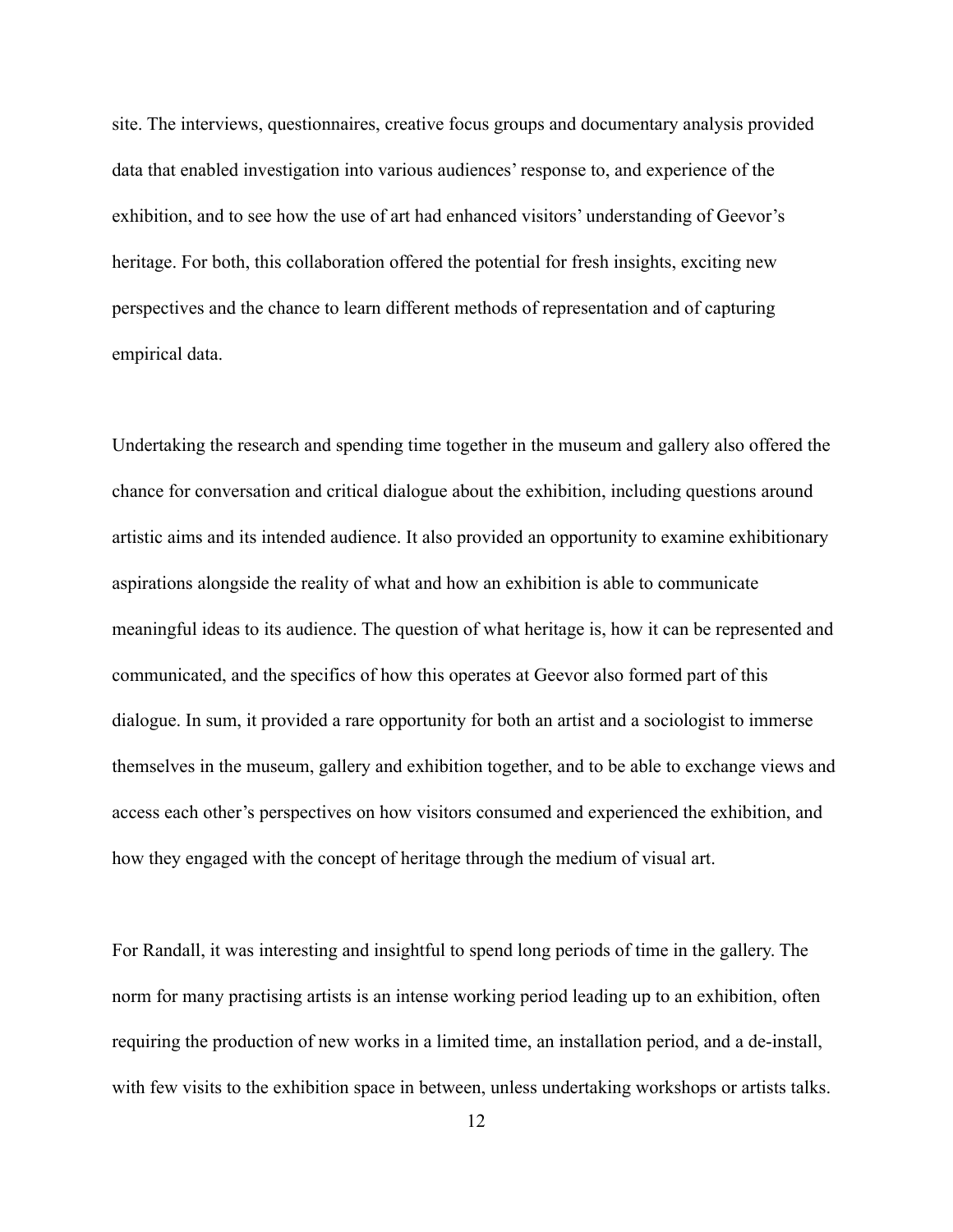site. The interviews, questionnaires, creative focus groups and documentary analysis provided data that enabled investigation into various audiences' response to, and experience of the exhibition, and to see how the use of art had enhanced visitors' understanding of Geevor's heritage. For both, this collaboration offered the potential for fresh insights, exciting new perspectives and the chance to learn different methods of representation and of capturing empirical data.

Undertaking the research and spending time together in the museum and gallery also offered the chance for conversation and critical dialogue about the exhibition, including questions around artistic aims and its intended audience. It also provided an opportunity to examine exhibitionary aspirations alongside the reality of what and how an exhibition is able to communicate meaningful ideas to its audience. The question of what heritage is, how it can be represented and communicated, and the specifics of how this operates at Geevor also formed part of this dialogue. In sum, it provided a rare opportunity for both an artist and a sociologist to immerse themselves in the museum, gallery and exhibition together, and to be able to exchange views and access each other's perspectives on how visitors consumed and experienced the exhibition, and how they engaged with the concept of heritage through the medium of visual art.

For Randall, it was interesting and insightful to spend long periods of time in the gallery. The norm for many practising artists is an intense working period leading up to an exhibition, often requiring the production of new works in a limited time, an installation period, and a de-install, with few visits to the exhibition space in between, unless undertaking workshops or artists talks.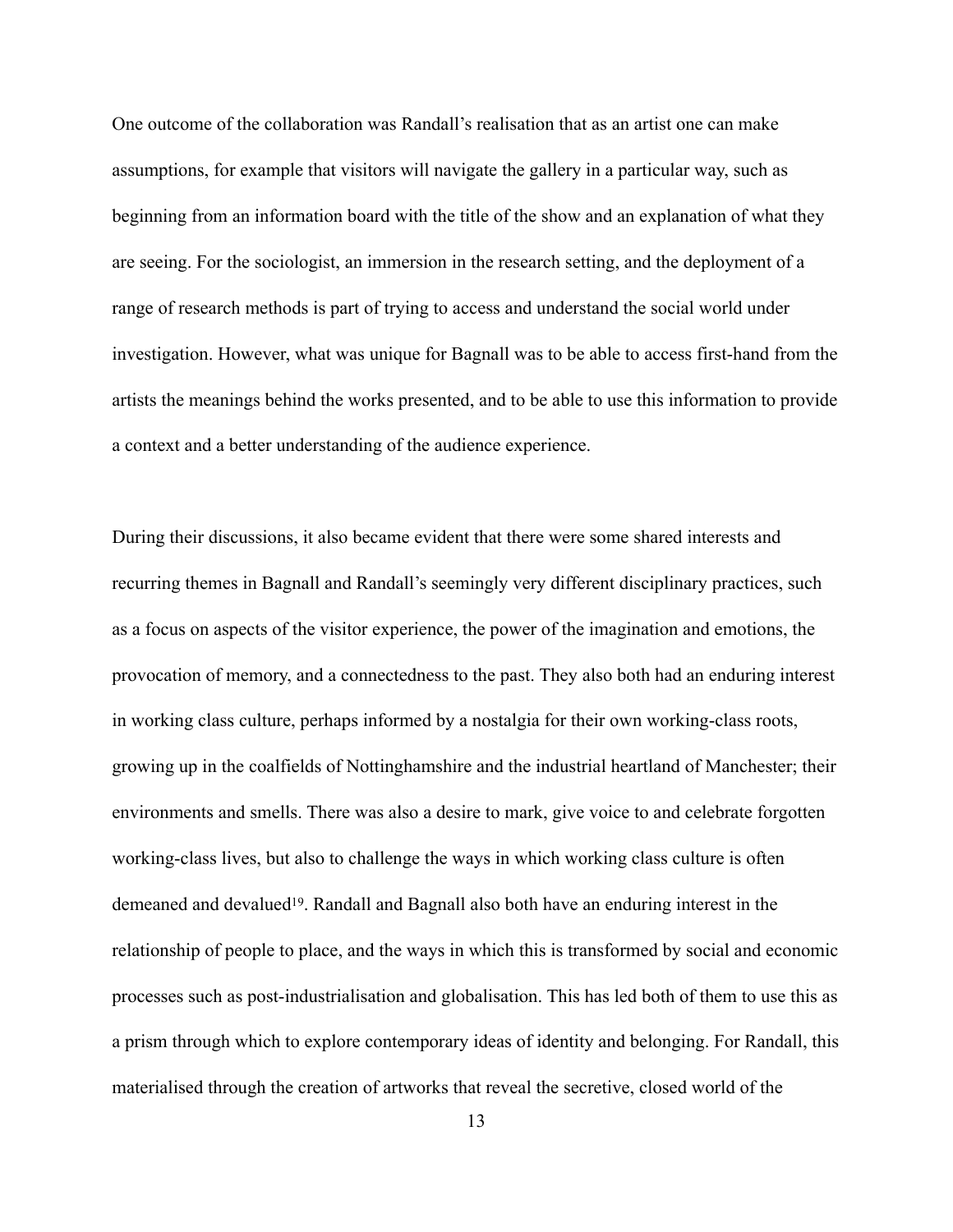One outcome of the collaboration was Randall's realisation that as an artist one can make assumptions, for example that visitors will navigate the gallery in a particular way, such as beginning from an information board with the title of the show and an explanation of what they are seeing. For the sociologist, an immersion in the research setting, and the deployment of a range of research methods is part of trying to access and understand the social world under investigation. However, what was unique for Bagnall was to be able to access first-hand from the artists the meanings behind the works presented, and to be able to use this information to provide a context and a better understanding of the audience experience.

<span id="page-13-0"></span>During their discussions, it also became evident that there were some shared interests and recurring themes in Bagnall and Randall's seemingly very different disciplinary practices, such as a focus on aspects of the visitor experience, the power of the imagination and emotions, the provocation of memory, and a connectedness to the past. They also both had an enduring interest in working class culture, perhaps informed by a nostalgia for their own working-class roots, growing up in the coalfields of Nottinghamshire and the industrial heartland of Manchester; their environments and smells. There was also a desire to mark, give voice to and celebrate forgotten working-class lives, but also to challenge the ways in which working class culture is often demeaned and devalued<sup>[19](#page-23-7)</sup>. Randall and Bagnall also both have an enduring interest in the relationship of people to place, and the ways in which this is transformed by social and economic processes such as post-industrialisation and globalisation. This has led both of them to use this as a prism through which to explore contemporary ideas of identity and belonging. For Randall, this materialised through the creation of artworks that reveal the secretive, closed world of the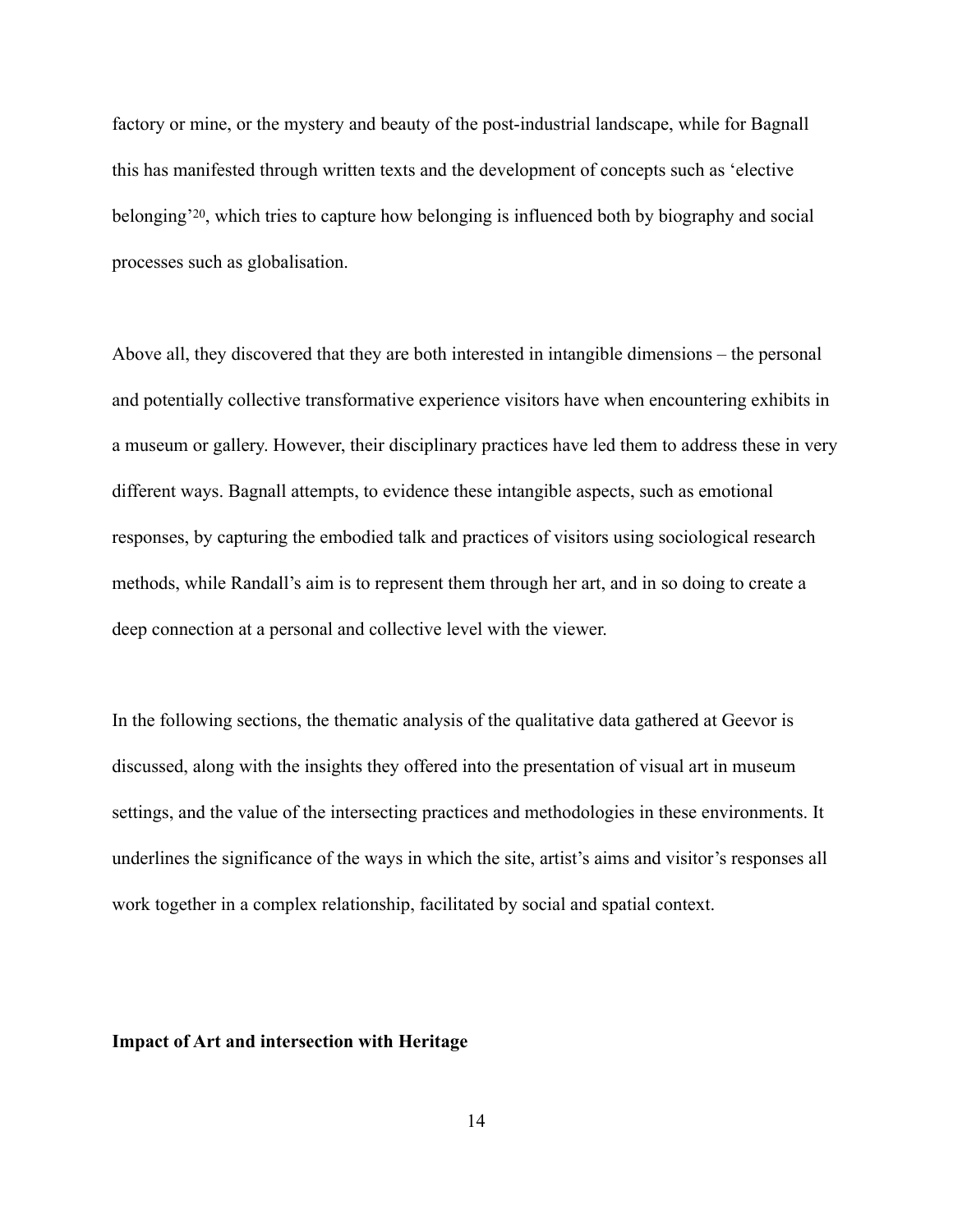<span id="page-14-0"></span>factory or mine, or the mystery and beauty of the post-industrial landscape, while for Bagnall this has manifested through written texts and the development of concepts such as 'elective belonging<sup>'20</sup>[,](#page-23-8) which tries to capture how belonging is influenced both by biography and social processes such as globalisation.

Above all, they discovered that they are both interested in intangible dimensions – the personal and potentially collective transformative experience visitors have when encountering exhibits in a museum or gallery. However, their disciplinary practices have led them to address these in very different ways. Bagnall attempts, to evidence these intangible aspects, such as emotional responses, by capturing the embodied talk and practices of visitors using sociological research methods, while Randall's aim is to represent them through her art, and in so doing to create a deep connection at a personal and collective level with the viewer.

In the following sections, the thematic analysis of the qualitative data gathered at Geevor is discussed, along with the insights they offered into the presentation of visual art in museum settings, and the value of the intersecting practices and methodologies in these environments. It underlines the significance of the ways in which the site, artist's aims and visitor's responses all work together in a complex relationship, facilitated by social and spatial context.

#### **Impact of Art and intersection with Heritage**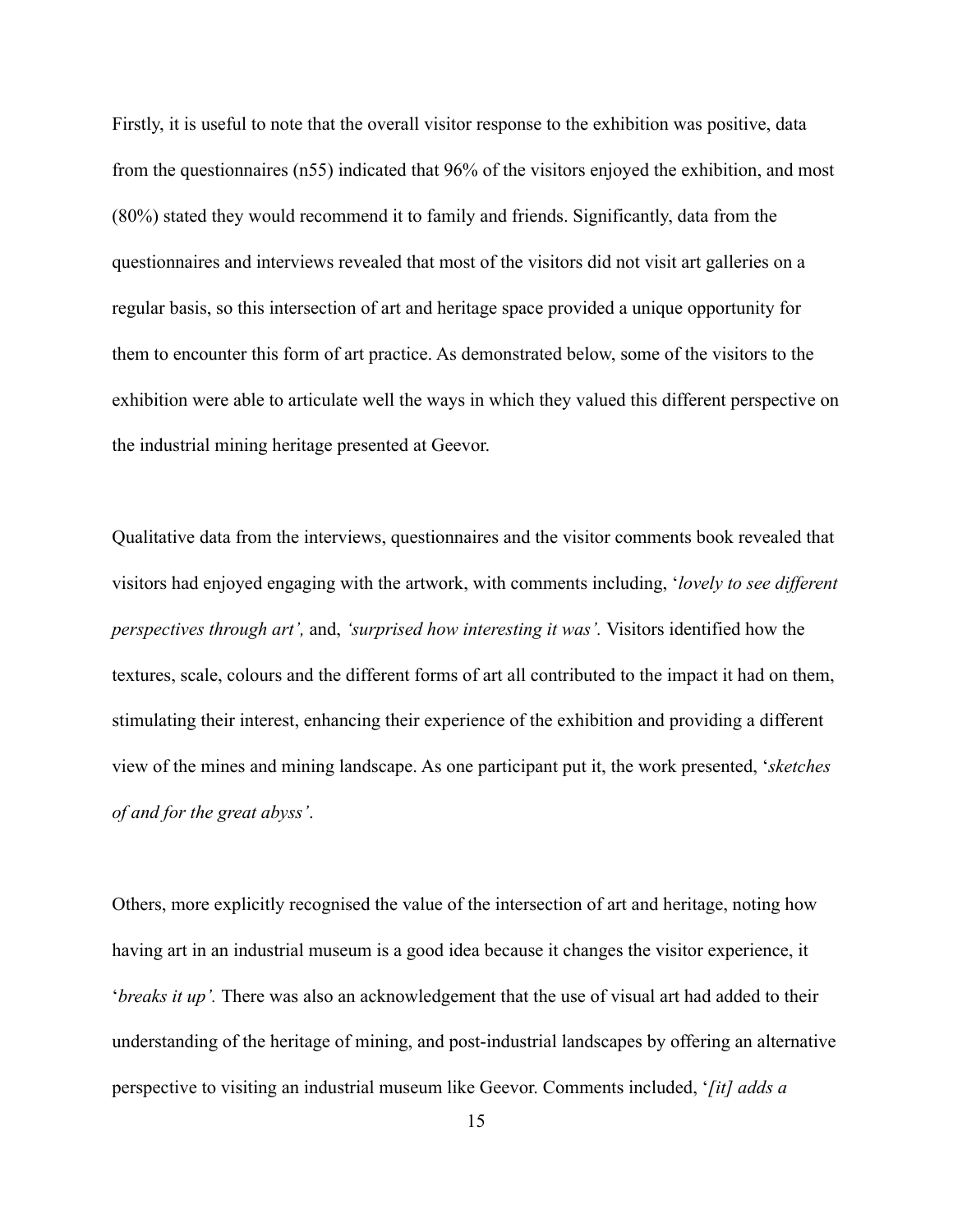Firstly, it is useful to note that the overall visitor response to the exhibition was positive, data from the questionnaires (n55) indicated that 96% of the visitors enjoyed the exhibition, and most (80%) stated they would recommend it to family and friends. Significantly, data from the questionnaires and interviews revealed that most of the visitors did not visit art galleries on a regular basis, so this intersection of art and heritage space provided a unique opportunity for them to encounter this form of art practice. As demonstrated below, some of the visitors to the exhibition were able to articulate well the ways in which they valued this different perspective on the industrial mining heritage presented at Geevor.

Qualitative data from the interviews, questionnaires and the visitor comments book revealed that visitors had enjoyed engaging with the artwork, with comments including, '*lovely to see different perspectives through art',* and, *'surprised how interesting it was'.* Visitors identified how the textures, scale, colours and the different forms of art all contributed to the impact it had on them, stimulating their interest, enhancing their experience of the exhibition and providing a different view of the mines and mining landscape. As one participant put it, the work presented, '*sketches of and for the great abyss'*.

Others, more explicitly recognised the value of the intersection of art and heritage, noting how having art in an industrial museum is a good idea because it changes the visitor experience, it '*breaks it up'.* There was also an acknowledgement that the use of visual art had added to their understanding of the heritage of mining, and post-industrial landscapes by offering an alternative perspective to visiting an industrial museum like Geevor. Comments included, '*[it] adds a*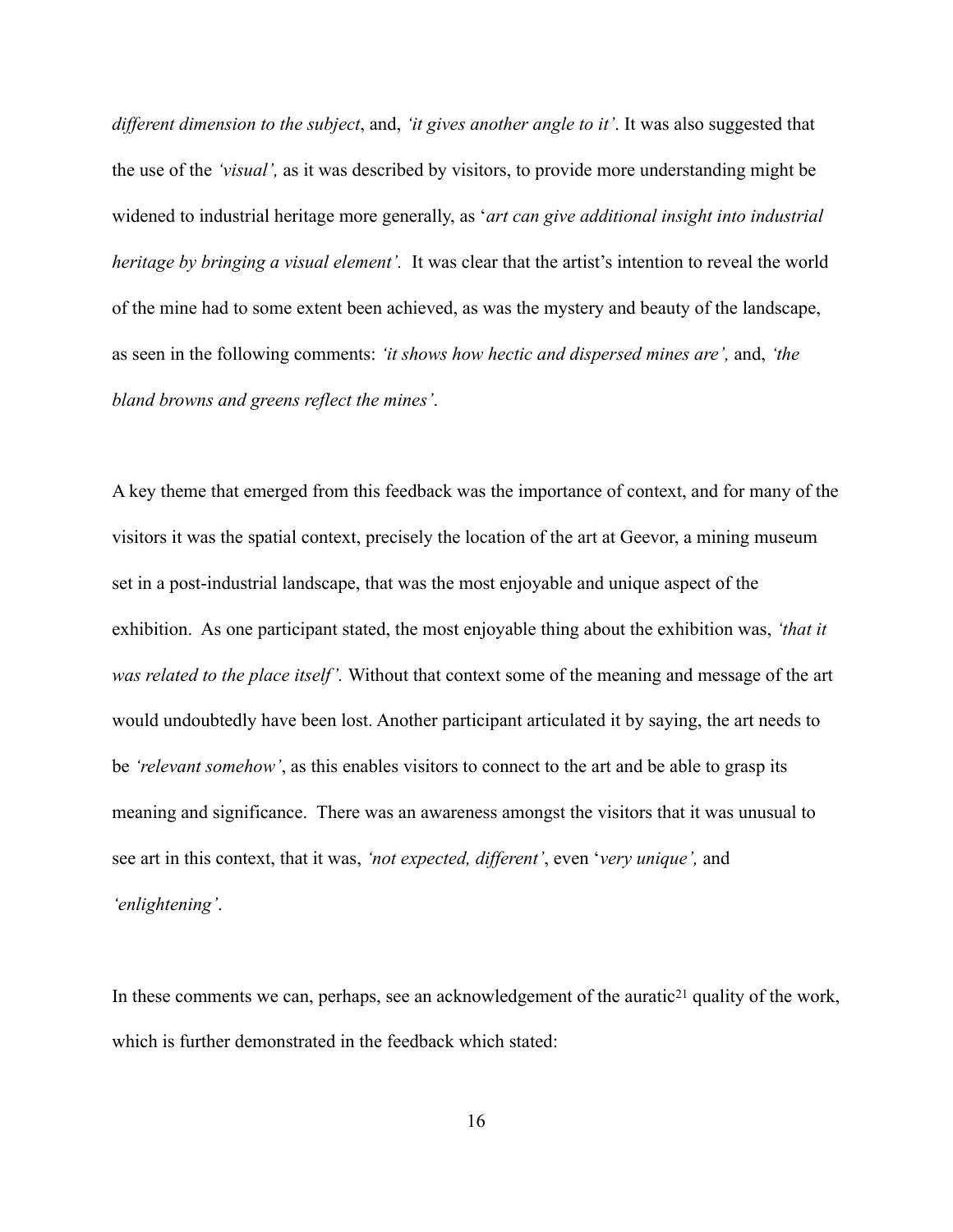*different dimension to the subject*, and, *'it gives another angle to it'*. It was also suggested that the use of the *'visual',* as it was described by visitors, to provide more understanding might be widened to industrial heritage more generally, as '*art can give additional insight into industrial heritage by bringing a visual element'.* It was clear that the artist's intention to reveal the world of the mine had to some extent been achieved, as was the mystery and beauty of the landscape, as seen in the following comments: *'it shows how hectic and dispersed mines are',* and, *'the bland browns and greens reflect the mines'*.

A key theme that emerged from this feedback was the importance of context, and for many of the visitors it was the spatial context, precisely the location of the art at Geevor, a mining museum set in a post-industrial landscape, that was the most enjoyable and unique aspect of the exhibition. As one participant stated, the most enjoyable thing about the exhibition was, *'that it was related to the place itself'.* Without that context some of the meaning and message of the art would undoubtedly have been lost. Another participant articulated it by saying, the art needs to be *'relevant somehow'*, as this enables visitors to connect to the art and be able to grasp its meaning and significance. There was an awareness amongst the visitors that it was unusual to see art in this context, that it was, *'not expected, different'*, even '*very unique',* and *'enlightening'*.

In these [c](#page-23-9)omments we can, perhaps, see an acknowledgement of the auratic<sup>[21](#page-23-9)</sup> quality of the work, which is further demonstrated in the feedback which stated:

<span id="page-16-0"></span>16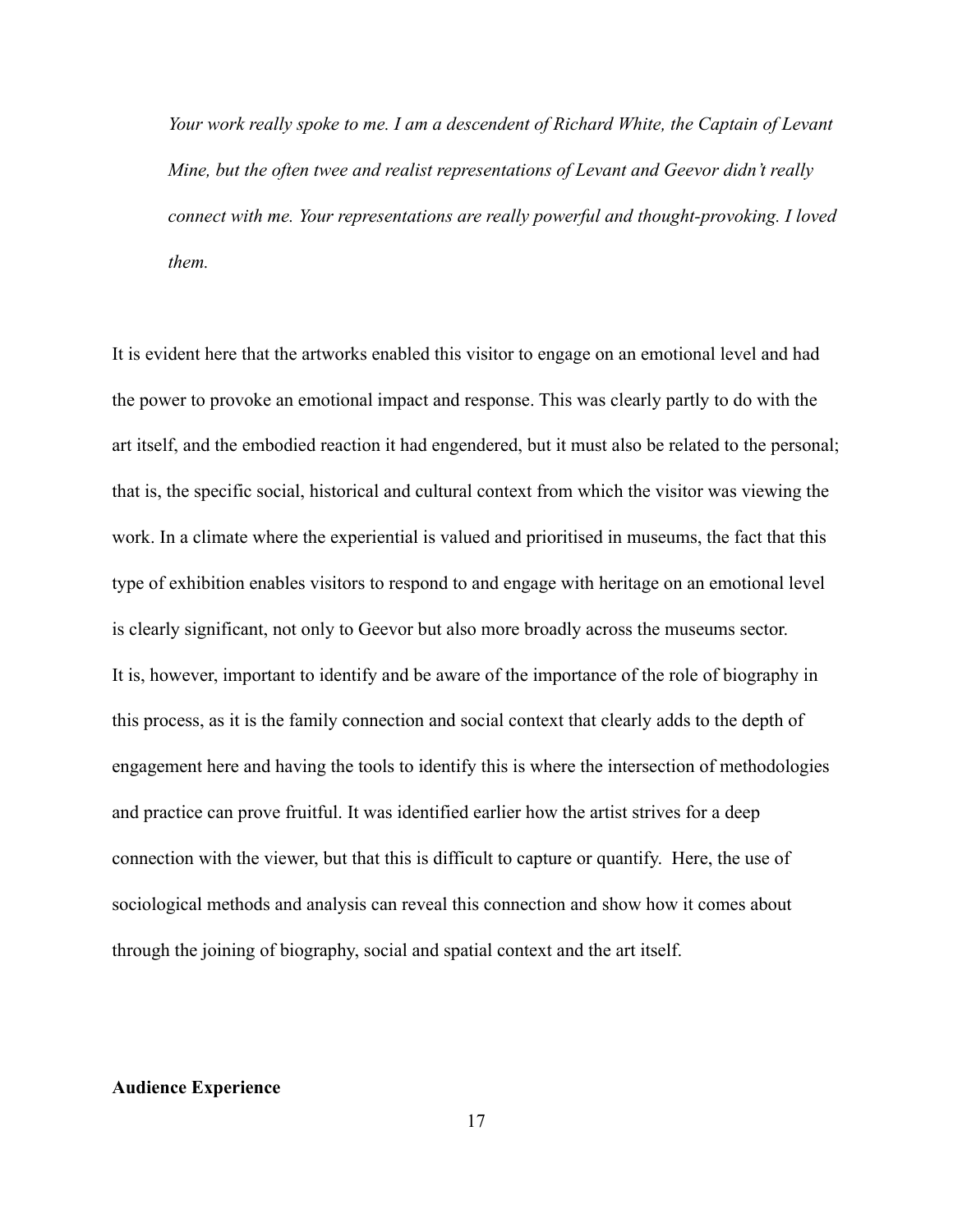*Your work really spoke to me. I am a descendent of Richard White, the Captain of Levant Mine, but the often twee and realist representations of Levant and Geevor didn't really connect with me. Your representations are really powerful and thought-provoking. I loved them.*

It is evident here that the artworks enabled this visitor to engage on an emotional level and had the power to provoke an emotional impact and response. This was clearly partly to do with the art itself, and the embodied reaction it had engendered, but it must also be related to the personal; that is, the specific social, historical and cultural context from which the visitor was viewing the work. In a climate where the experiential is valued and prioritised in museums, the fact that this type of exhibition enables visitors to respond to and engage with heritage on an emotional level is clearly significant, not only to Geevor but also more broadly across the museums sector. It is, however, important to identify and be aware of the importance of the role of biography in this process, as it is the family connection and social context that clearly adds to the depth of engagement here and having the tools to identify this is where the intersection of methodologies and practice can prove fruitful. It was identified earlier how the artist strives for a deep connection with the viewer, but that this is difficult to capture or quantify. Here, the use of sociological methods and analysis can reveal this connection and show how it comes about through the joining of biography, social and spatial context and the art itself.

#### **Audience Experience**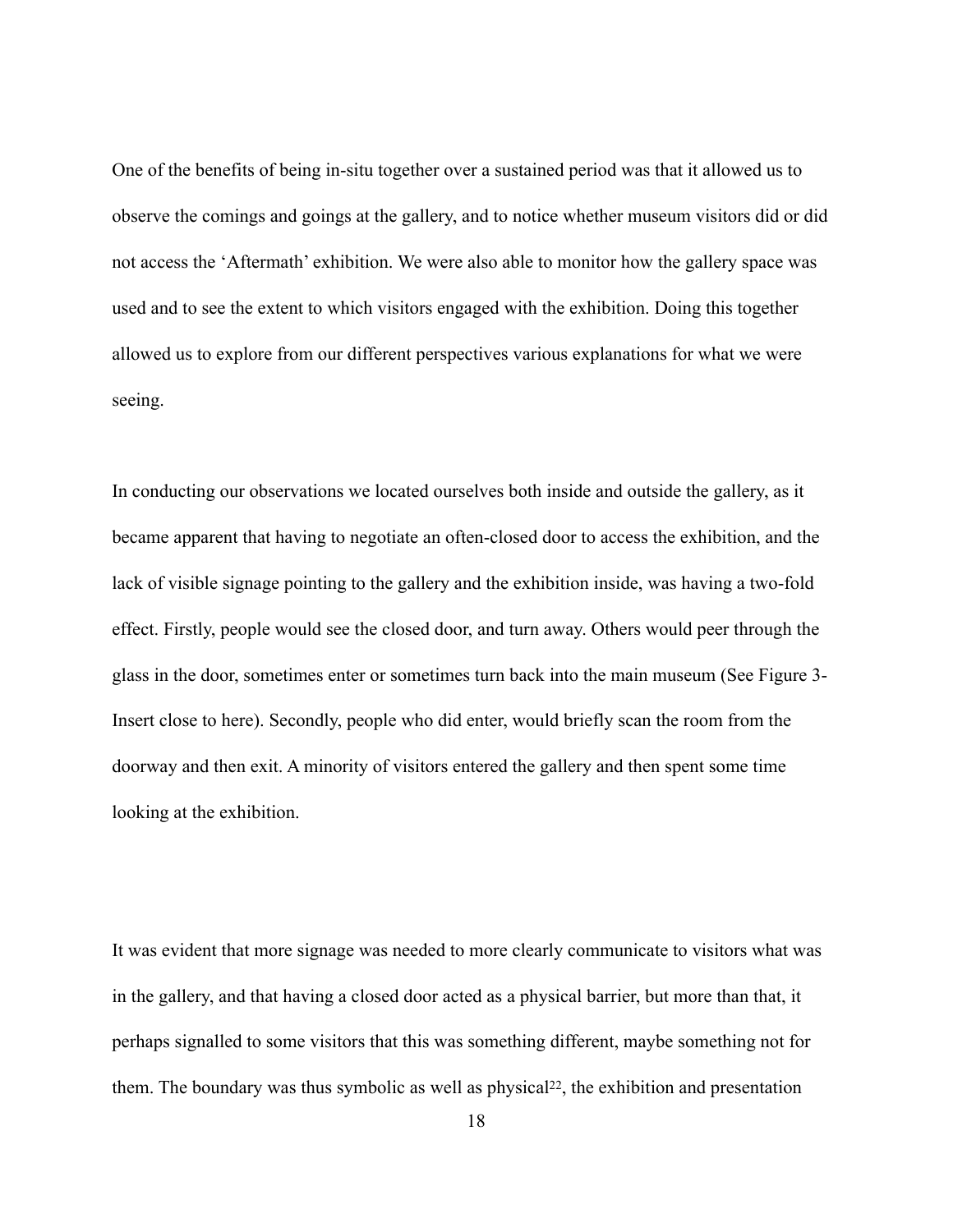One of the benefits of being in-situ together over a sustained period was that it allowed us to observe the comings and goings at the gallery, and to notice whether museum visitors did or did not access the 'Aftermath' exhibition. We were also able to monitor how the gallery space was used and to see the extent to which visitors engaged with the exhibition. Doing this together allowed us to explore from our different perspectives various explanations for what we were seeing.

In conducting our observations we located ourselves both inside and outside the gallery, as it became apparent that having to negotiate an often-closed door to access the exhibition, and the lack of visible signage pointing to the gallery and the exhibition inside, was having a two-fold effect. Firstly, people would see the closed door, and turn away. Others would peer through the glass in the door, sometimes enter or sometimes turn back into the main museum (See Figure 3- Insert close to here). Secondly, people who did enter, would briefly scan the room from the doorway and then exit. A minority of visitors entered the gallery and then spent some time looking at the exhibition.

<span id="page-18-0"></span>It was evident that more signage was needed to more clearly communicate to visitors what was in the gallery, and that having a closed door acted as a physical barrier, but more than that, it perhaps signalled to some visitors that this was something different, maybe something not for them. The boundary was thus symbolic as well as physical<sup>[22](#page-23-10)</sup>, the exhibition and presentation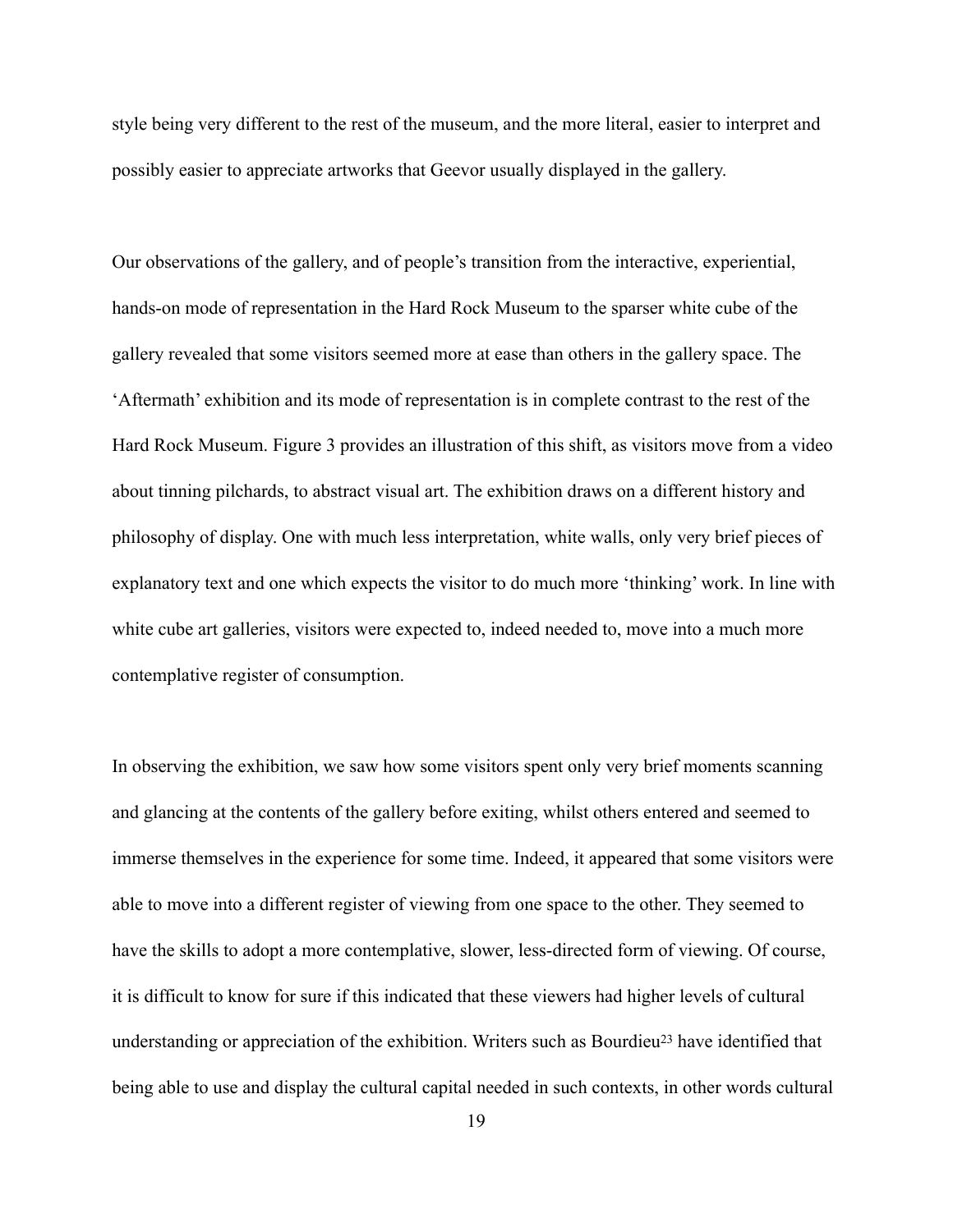style being very different to the rest of the museum, and the more literal, easier to interpret and possibly easier to appreciate artworks that Geevor usually displayed in the gallery.

Our observations of the gallery, and of people's transition from the interactive, experiential, hands-on mode of representation in the Hard Rock Museum to the sparser white cube of the gallery revealed that some visitors seemed more at ease than others in the gallery space. The 'Aftermath' exhibition and its mode of representation is in complete contrast to the rest of the Hard Rock Museum. Figure 3 provides an illustration of this shift, as visitors move from a video about tinning pilchards, to abstract visual art. The exhibition draws on a different history and philosophy of display. One with much less interpretation, white walls, only very brief pieces of explanatory text and one which expects the visitor to do much more 'thinking' work. In line with white cube art galleries, visitors were expected to, indeed needed to, move into a much more contemplative register of consumption.

<span id="page-19-0"></span>In observing the exhibition, we saw how some visitors spent only very brief moments scanning and glancing at the contents of the gallery before exiting, whilst others entered and seemed to immerse themselves in the experience for some time. Indeed, it appeared that some visitors were able to move into a different register of viewing from one space to the other. They seemed to have the skills to adopt a more contemplative, slower, less-directed form of viewing. Of course, it is difficult to know for sure if this indicated that these viewers had higher levels of cultural understandingor appreciation of the exhibition. Writers such as Bourdieu<sup>[23](#page-23-11)</sup> have identified that being able to use and display the cultural capital needed in such contexts, in other words cultural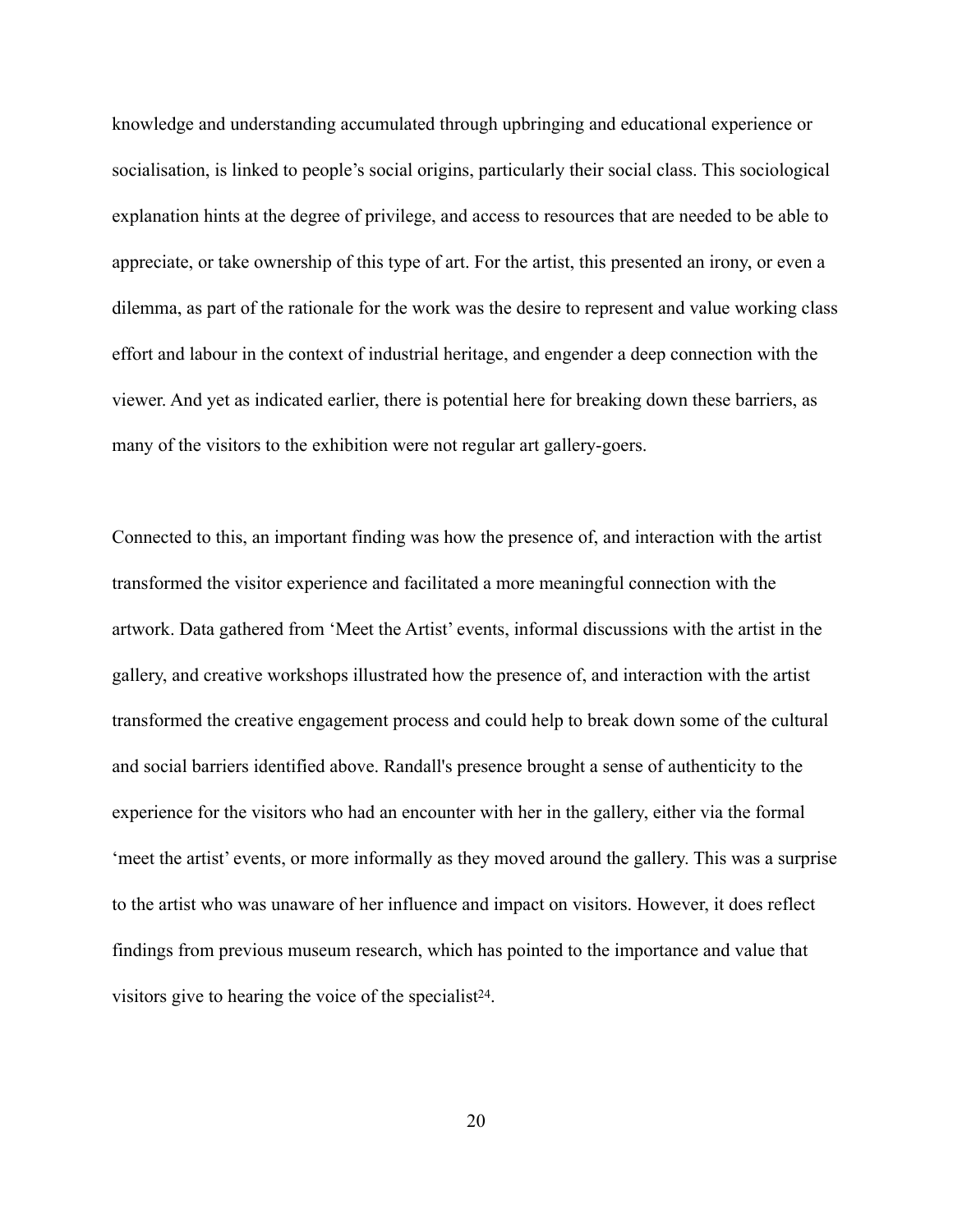knowledge and understanding accumulated through upbringing and educational experience or socialisation, is linked to people's social origins, particularly their social class. This sociological explanation hints at the degree of privilege, and access to resources that are needed to be able to appreciate, or take ownership of this type of art. For the artist, this presented an irony, or even a dilemma, as part of the rationale for the work was the desire to represent and value working class effort and labour in the context of industrial heritage, and engender a deep connection with the viewer. And yet as indicated earlier, there is potential here for breaking down these barriers, as many of the visitors to the exhibition were not regular art gallery-goers.

<span id="page-20-0"></span>Connected to this, an important finding was how the presence of, and interaction with the artist transformed the visitor experience and facilitated a more meaningful connection with the artwork. Data gathered from 'Meet the Artist' events, informal discussions with the artist in the gallery, and creative workshops illustrated how the presence of, and interaction with the artist transformed the creative engagement process and could help to break down some of the cultural and social barriers identified above. Randall's presence brought a sense of authenticity to the experience for the visitors who had an encounter with her in the gallery, either via the formal 'meet the artist' events, or more informally as they moved around the gallery. This was a surprise to the artist who was unaware of her influence and impact on visitors. However, it does reflect findings from previous museum research, which has pointed to the importance and value that visitors give to hearing the voice of the specialist<sup>[24](#page-23-12)</sup>.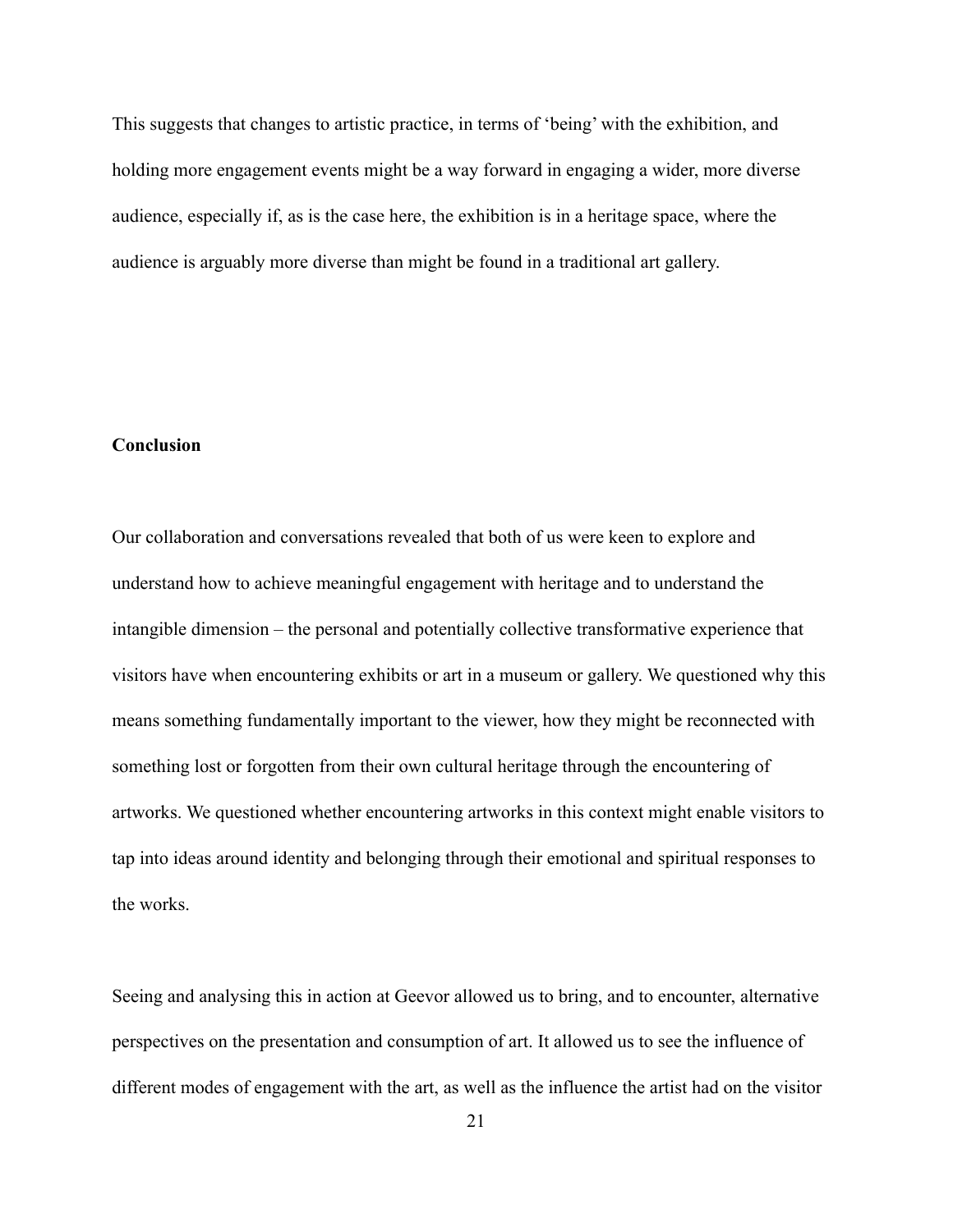This suggests that changes to artistic practice, in terms of 'being' with the exhibition, and holding more engagement events might be a way forward in engaging a wider, more diverse audience, especially if, as is the case here, the exhibition is in a heritage space, where the audience is arguably more diverse than might be found in a traditional art gallery.

# **Conclusion**

Our collaboration and conversations revealed that both of us were keen to explore and understand how to achieve meaningful engagement with heritage and to understand the intangible dimension – the personal and potentially collective transformative experience that visitors have when encountering exhibits or art in a museum or gallery. We questioned why this means something fundamentally important to the viewer, how they might be reconnected with something lost or forgotten from their own cultural heritage through the encountering of artworks. We questioned whether encountering artworks in this context might enable visitors to tap into ideas around identity and belonging through their emotional and spiritual responses to the works.

Seeing and analysing this in action at Geevor allowed us to bring, and to encounter, alternative perspectives on the presentation and consumption of art. It allowed us to see the influence of different modes of engagement with the art, as well as the influence the artist had on the visitor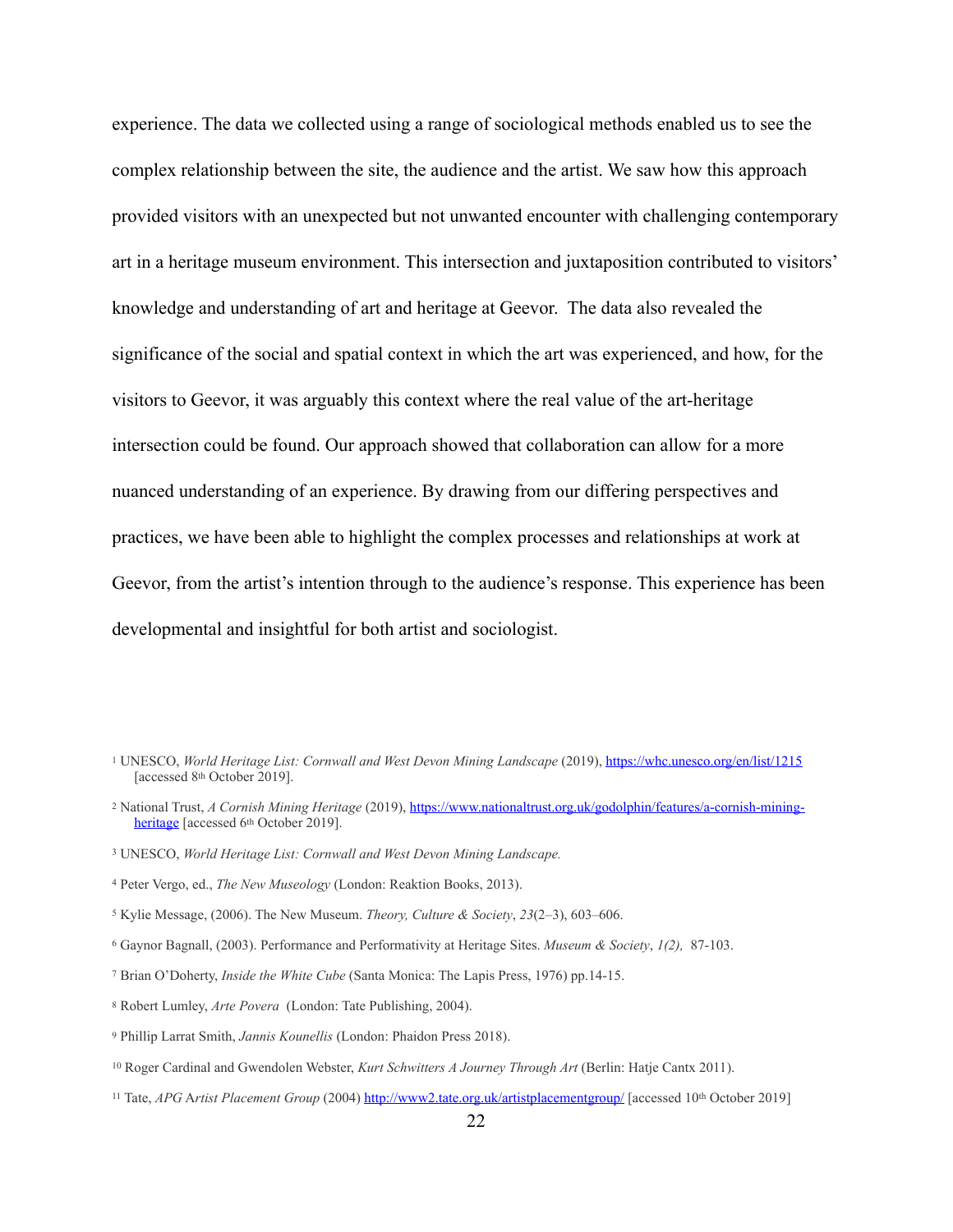experience. The data we collected using a range of sociological methods enabled us to see the complex relationship between the site, the audience and the artist. We saw how this approach provided visitors with an unexpected but not unwanted encounter with challenging contemporary art in a heritage museum environment. This intersection and juxtaposition contributed to visitors' knowledge and understanding of art and heritage at Geevor. The data also revealed the significance of the social and spatial context in which the art was experienced, and how, for the visitors to Geevor, it was arguably this context where the real value of the art-heritage intersection could be found. Our approach showed that collaboration can allow for a more nuanced understanding of an experience. By drawing from our differing perspectives and practices, we have been able to highlight the complex processes and relationships at work at Geevor, from the artist's intention through to the audience's response. This experience has been developmental and insightful for both artist and sociologist.

<span id="page-22-10"></span>Tate, *APG* A*rtist Placement Group* (2004)<http://www2.tate.org.uk/artistplacementgroup/> [accessed 10th October 2019] [11](#page-7-3)

<span id="page-22-0"></span>[<sup>1</sup>](#page-3-0) UNESCO, *World Heritage List: Cornwall and West Devon Mining Landscape* (2019),<https://whc.unesco.org/en/list/1215> [accessed 8th October 2019].

<span id="page-22-1"></span><sup>&</sup>lt;sup>[2](#page-3-1)</sup> National Trust, *A Cornish Mining Heritage* (2019), [https://www.nationaltrust.org.uk/godolphin/features/a-cornish-mining](https://www.nationaltrust.org.uk/godolphin/features/a-cornish-mining-heritage) [heritage](https://www.nationaltrust.org.uk/godolphin/features/a-cornish-mining-heritage) [accessed 6<sup>th</sup> October 2019].

<span id="page-22-2"></span>UNESCO, *World Heritage List: Cornwall and West Devon Mining Landscape.* [3](#page-3-2)

<span id="page-22-3"></span>Peter Vergo, ed., *The New Museology* (London: Reaktion Books, 2013). [4](#page-4-0)

<span id="page-22-4"></span><sup>&</sup>lt;sup>[5](#page-4-1)</sup> Kylie Message, (2006). The New Museum. *Theory, Culture & Society*, 23(2-3), 603-606.

<span id="page-22-5"></span>Gaynor Bagnall, (2003). Performance and Performativity at Heritage Sites. *Museum & Society*, *1(2),* 87-103. [6](#page-4-2)

<span id="page-22-6"></span>Brian O'Doherty, *Inside the White Cube* (Santa Monica: The Lapis Press, 1976) pp.14-15. [7](#page-5-0)

<span id="page-22-7"></span><sup>&</sup>lt;sup>[8](#page-7-0)</sup> Robert Lumley, *Arte Povera* (London: Tate Publishing, 2004).

<span id="page-22-8"></span><sup>&</sup>lt;sup>[9](#page-7-1)</sup> Phillip Larrat Smith, *Jannis Kounellis* (London: Phaidon Press 2018).

<span id="page-22-9"></span><sup>&</sup>lt;sup>[10](#page-7-2)</sup> Roger Cardinal and Gwendolen Webster, *Kurt Schwitters A Journey Through Art* (Berlin: Hatje Cantx 2011).